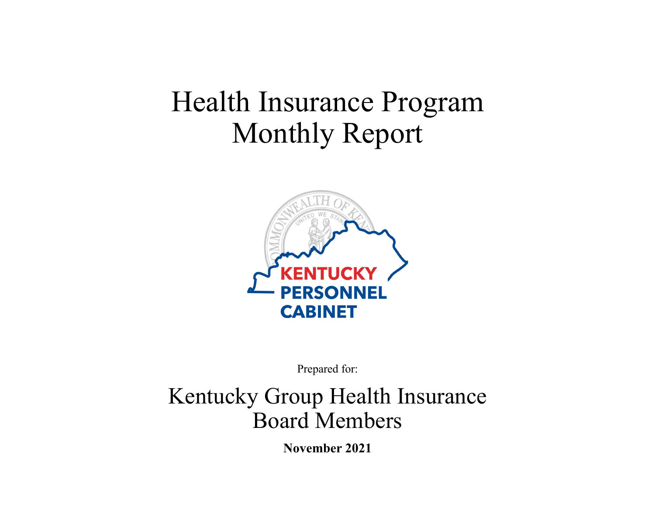# Health Insurance Program Monthly Report



Prepared for:

## Kentucky Group Health Insurance Board Members

**November 2021**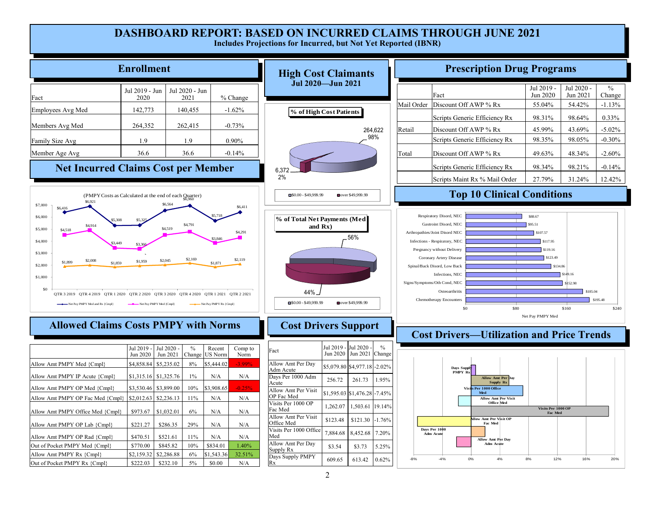#### **DASHBOARD REPORT: BASED ON INCURRED CLAIMS THROUGH JUNE 2021 Includes Projections for Incurred, but Not Yet Reported (IBNR)**

|                                                                                                                                                                                                                                                                                                                                  | <b>Enrollment</b>                                                                                                                                                     |                                                                                                                                                                                                                                          |                                                                                                                    |                                                                                                    |                                                                                                                                                                                                                                                                             | <b>High Cost Claimants</b>                                                                                                                                                                                                                |                                                                                                        |        |                                                                                                                                                                                          |                                                                                                                         |                                                                                                                                                              |                                                             | <b>Prescription Drug Programs</b>                                                      |                                                  |                         |
|----------------------------------------------------------------------------------------------------------------------------------------------------------------------------------------------------------------------------------------------------------------------------------------------------------------------------------|-----------------------------------------------------------------------------------------------------------------------------------------------------------------------|------------------------------------------------------------------------------------------------------------------------------------------------------------------------------------------------------------------------------------------|--------------------------------------------------------------------------------------------------------------------|----------------------------------------------------------------------------------------------------|-----------------------------------------------------------------------------------------------------------------------------------------------------------------------------------------------------------------------------------------------------------------------------|-------------------------------------------------------------------------------------------------------------------------------------------------------------------------------------------------------------------------------------------|--------------------------------------------------------------------------------------------------------|--------|------------------------------------------------------------------------------------------------------------------------------------------------------------------------------------------|-------------------------------------------------------------------------------------------------------------------------|--------------------------------------------------------------------------------------------------------------------------------------------------------------|-------------------------------------------------------------|----------------------------------------------------------------------------------------|--------------------------------------------------|-------------------------|
| Fact                                                                                                                                                                                                                                                                                                                             | Jul 2019 - Jun<br>2020                                                                                                                                                | Jul 2020 - Jun<br>2021                                                                                                                                                                                                                   |                                                                                                                    | % Change                                                                                           |                                                                                                                                                                                                                                                                             | Jul 2020-Jun 2021                                                                                                                                                                                                                         |                                                                                                        |        |                                                                                                                                                                                          | Fact                                                                                                                    |                                                                                                                                                              |                                                             | Jul 2019 -<br>Jun 2020                                                                 | Jul 2020<br>Jun 2021                             | $\frac{0}{0}$<br>Change |
| Employees Avg Med                                                                                                                                                                                                                                                                                                                | 142,773                                                                                                                                                               | 140,455                                                                                                                                                                                                                                  |                                                                                                                    | $-1.62%$                                                                                           |                                                                                                                                                                                                                                                                             | % of High Cost Patients                                                                                                                                                                                                                   |                                                                                                        |        | Mail Order                                                                                                                                                                               | Discount Off AWP % Rx<br>Scripts Generic Efficiency Rx                                                                  |                                                                                                                                                              |                                                             | 55.04%<br>98.31%                                                                       | 54.42%<br>98.64%                                 | $-1.13%$<br>0.33%       |
| Members Avg Med                                                                                                                                                                                                                                                                                                                  | 264,352                                                                                                                                                               | 262,415                                                                                                                                                                                                                                  |                                                                                                                    | $-0.73%$                                                                                           |                                                                                                                                                                                                                                                                             |                                                                                                                                                                                                                                           | 264,622                                                                                                | Retail |                                                                                                                                                                                          | Discount Off AWP % Rx                                                                                                   |                                                                                                                                                              |                                                             | 45.99%                                                                                 | 43.69%                                           | $-5.02\%$               |
| Family Size Avg                                                                                                                                                                                                                                                                                                                  | 1.9                                                                                                                                                                   | 1.9                                                                                                                                                                                                                                      |                                                                                                                    | 0.90%                                                                                              |                                                                                                                                                                                                                                                                             |                                                                                                                                                                                                                                           | 98%                                                                                                    |        |                                                                                                                                                                                          | Scripts Generic Efficiency Rx                                                                                           |                                                                                                                                                              |                                                             | 98.35%                                                                                 | 98.05%                                           | $-0.30%$                |
| Member Age Avg                                                                                                                                                                                                                                                                                                                   | 36.6                                                                                                                                                                  | 36.6                                                                                                                                                                                                                                     |                                                                                                                    | $-0.14%$                                                                                           |                                                                                                                                                                                                                                                                             |                                                                                                                                                                                                                                           |                                                                                                        | Total  |                                                                                                                                                                                          | Discount Off AWP % Rx                                                                                                   |                                                                                                                                                              |                                                             | 49.63%                                                                                 | 48.34%                                           | $-2.60%$                |
| <b>Net Incurred Claims Cost per Member</b>                                                                                                                                                                                                                                                                                       |                                                                                                                                                                       |                                                                                                                                                                                                                                          |                                                                                                                    |                                                                                                    | 6,372<br>2%                                                                                                                                                                                                                                                                 |                                                                                                                                                                                                                                           |                                                                                                        |        |                                                                                                                                                                                          | Scripts Generic Efficiency Rx<br>Scripts Maint Rx % Mail Order                                                          |                                                                                                                                                              |                                                             | 98.34%<br>27.79%                                                                       | 98.21%<br>31.24%                                 | $-0.14\%$<br>12.42%     |
| \$7,000                                                                                                                                                                                                                                                                                                                          |                                                                                                                                                                       | (PMPY Costs as Calculated at the end of each Quarter)<br>66.564                                                                                                                                                                          |                                                                                                                    | \$6.411                                                                                            | $S0.00 - $49.999.99$                                                                                                                                                                                                                                                        | over \$49,999.99                                                                                                                                                                                                                          |                                                                                                        |        |                                                                                                                                                                                          |                                                                                                                         |                                                                                                                                                              |                                                             | <b>Top 10 Clinical Conditions</b>                                                      |                                                  |                         |
| \$6.416<br>\$6,000<br>\$5.308<br>\$4,914<br>\$5,000<br>\$4.518<br>\$4,000<br>\$3,000<br>\$2,008<br>\$1.899<br>\$1.859<br>\$2,000<br>\$1,000<br>\$0<br>OTR 3 2019 OTR 4 2019 OTR 1 2020 OTR 2 2020 OTR 3 2020 OTR 4 2020 OTR 1 2021 OTR 2 2021<br>Net Pay PMPY Med and Rx {Cmpl<br><b>Allowed Claims Costs PMPY with Norms</b>    | \$1,959<br>Net Pay PMPY Med {Cmpl}                                                                                                                                    | \$4,791<br>\$4,519<br>\$2,169<br>\$2,045                                                                                                                                                                                                 | \$1,871<br>-Net Pay PMPY Rx {Cmpl}                                                                                 | \$4,291<br>\$2,119                                                                                 | % of Total Net Payments (Med<br>and $Rx$ )<br>44%<br>$\_50.00 - $49.999.99$                                                                                                                                                                                                 | 56%<br>over \$49,999.99                                                                                                                                                                                                                   |                                                                                                        |        | Arthropathies/Joint Disord NEC<br>Infections - Respiratory, NEC<br>Pregnancy without Delivery<br>Spinal/Back Disord, Low Back<br>Signs/Symptoms/Oth Cond, NEC<br>Chemotherapy Encounters | Respiratory Disord, NEC<br>Gastroint Disord, NEC<br>Coronary Artery Disease<br>Infections, NEC<br>Osteoarthritis<br>\$0 |                                                                                                                                                              | \$80                                                        | \$88.67<br>\$95.51<br>\$107.57<br>\$117.95<br>\$119.16<br>\$123.49<br>Net Pay PMPY Med | 49.16<br>152.98<br>\$185.04<br>\$160             | \$195.48<br>\$240       |
|                                                                                                                                                                                                                                                                                                                                  |                                                                                                                                                                       |                                                                                                                                                                                                                                          |                                                                                                                    |                                                                                                    |                                                                                                                                                                                                                                                                             | <b>Cost Drivers Support</b>                                                                                                                                                                                                               |                                                                                                        |        |                                                                                                                                                                                          |                                                                                                                         |                                                                                                                                                              |                                                             |                                                                                        | <b>Cost Drivers-Utilization and Price Trends</b> |                         |
| Allow Amt PMPY Med {Cmpl}<br>Allow Amt PMPY IP Acute {Cmpl}<br>Allow Amt PMPY OP Med {Cmpl}<br>Allow Amt PMPY OP Fac Med {Cmpl}<br>Allow Amt PMPY Office Med {Cmpl}<br>Allow Amt PMPY OP Lab {Cmpl}<br>Allow Amt PMPY OP Rad {Cmpl}<br>Out of Pocket PMPY Med {Cmpl}<br>Allow Amt PMPY Rx {Cmpl}<br>Out of Pocket PMPY Rx {Cmpl} | Jul 2019<br>Jun 2020<br>\$4,858.84<br>$$1,315.16$ \ $$1,325.76$<br>\$3,530.46<br>\$2,012.63<br>\$973.67<br>\$221.27<br>\$470.51<br>\$770.00<br>\$2,159.32<br>\$222.03 | Jul 2020<br>$\frac{0}{0}$<br>Jun 2021<br>Chang<br>\$5,235.02<br>8%<br>$1\%$<br>10%<br>\$3,899.00<br>\$2,236.13<br>11%<br>\$1,032.01<br>6%<br>29%<br>\$286.35<br>11%<br>\$521.61<br>\$845.82<br>10%<br>\$2,286.88<br>6%<br>5%<br>\$232.10 | Recent<br>US Norm<br>\$5,444.02<br>N/A<br>3,908.65<br>N/A<br>N/A<br>N/A<br>N/A<br>\$834.01<br>\$1,543.36<br>\$0.00 | Comp to<br>Norm<br>-3.99%<br>N/A<br>$-0.25%$<br>N/A<br>N/A<br>N/A<br>N/A<br>1.40%<br>32.51%<br>N/A | Fact<br>Allow Amt Per Day<br>Adm Acute<br>Days Per 1000 Adm<br>Acute<br>Allow Amt Per Visit<br>OP Fac Med<br>Visits Per 1000 OP<br>Fac Med<br>Allow Amt Per Visit<br>Office Med<br>Visits Per 1000 Offic<br>Med<br>Allow Amt Per Day<br>Supply Rx<br>Days Supply PMPY<br>Rx | <b>Jul 2020</b><br>Jul 2019<br>Jun 2020<br>Jun 2021<br>\$5,079.80 \$4,977.18<br>256.72<br>261.73<br>\$1,595.03 \$1,476.28<br>1,503.61<br>1,262.07<br>\$123.48<br>\$121.30<br>7,884.68<br>8,452.68<br>\$3.54<br>\$3.73<br>609.65<br>613.42 | $\frac{0}{0}$<br>Change<br>$-2.02%$<br>1.95%<br>$-7.45%$<br>19.14%<br>1.76%<br>7.20%<br>5.25%<br>0.62% |        | Days Per 1000<br>Adm Acut<br>$-8%$                                                                                                                                                       | Days Supply<br>PMPY Rx<br>$-4%$                                                                                         | <b>Allow Amt Per</b><br><b>Visi<mark>l</mark>s Per 1000 Office</b><br>Med<br>llow Amt Per Visit OP<br>Fac Med<br><b>Allow Amt Per Day</b><br>Adm Acute<br>0% | Supply Rx<br><b>Allow Amt Per Visit</b><br>Office Med<br>4% | Visits Per 1000 OP<br>Fac Med<br>12%<br>8%                                             | 16%                                              | 20%                     |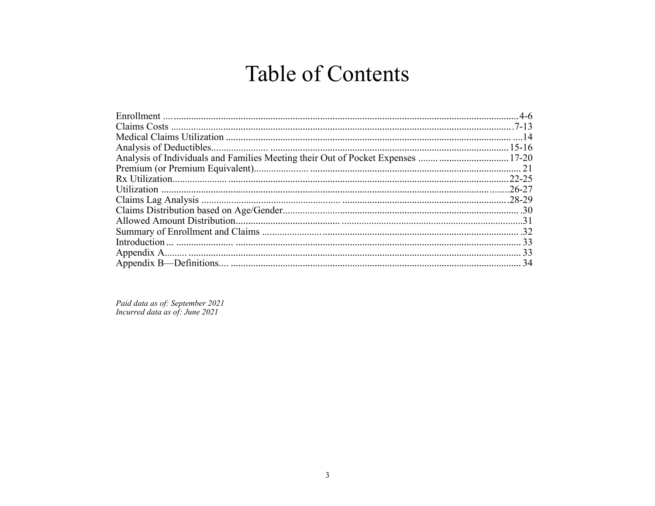## **Table of Contents**

Paid data as of: September 2021<br>Incurred data as of: June 2021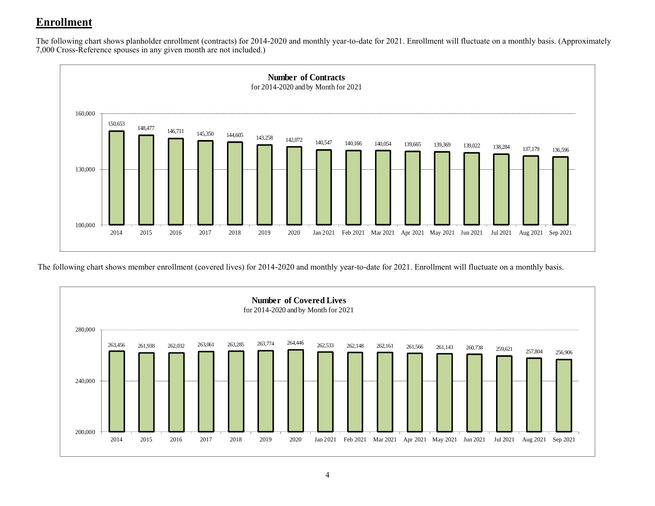## **Enrollment**

The following chart shows planholder enrollment (contracts) for 2014-2020 and monthly year-to-date for 2021. Enrollment will fluctuate on a monthly basis. (Approximately 7,000 Cross-Reference spouses in any given month are not included.)



The following chart shows member enrollment (covered lives) for 2014-2020 and monthly year-to-date for 2021. Enrollment will fluctuate on a monthly basis.

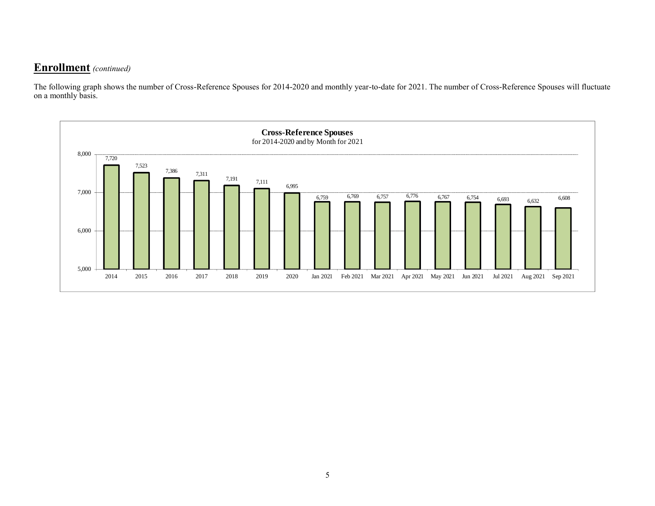#### **Enrollment** *(continued)*

The following graph shows the number of Cross-Reference Spouses for 2014-2020 and monthly year-to-date for 2021. The number of Cross-Reference Spouses will fluctuate on a monthly basis.

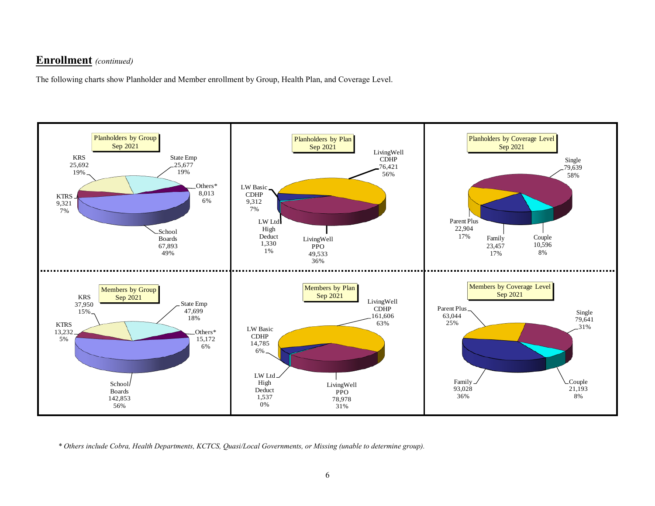#### **Enrollment** *(continued)*

The following charts show Planholder and Member enrollment by Group, Health Plan, and Coverage Level.



*\* Others include Cobra, Health Departments, KCTCS, Quasi/Local Governments, or Missing (unable to determine group).*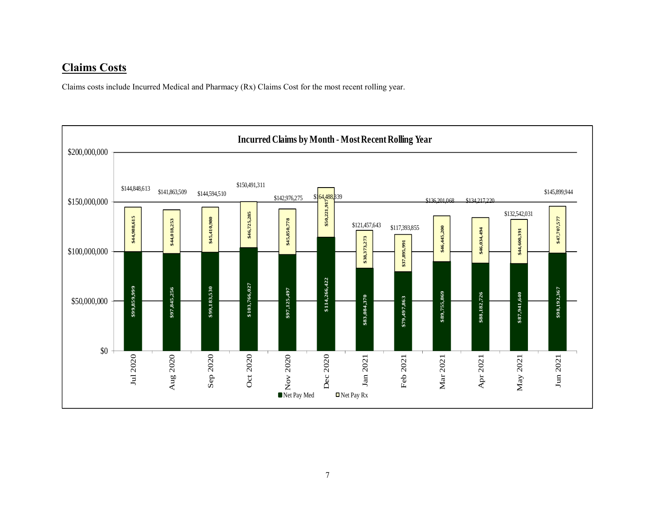#### **Claims Costs**

Claims costs include Incurred Medical and Pharmacy (Rx) Claims Cost for the most recent rolling year.

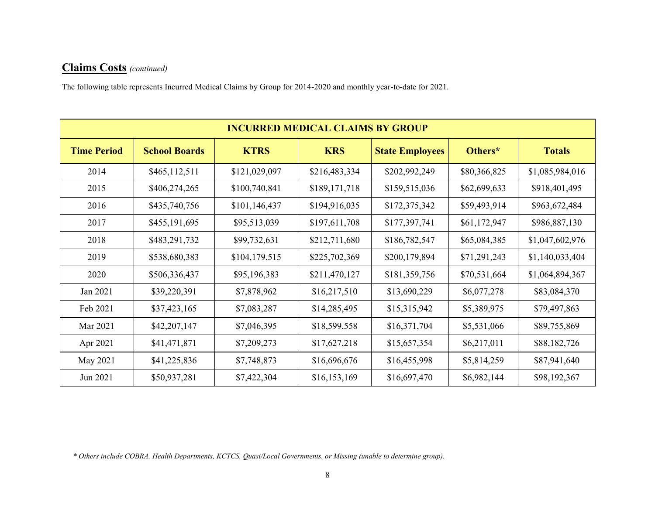The following table represents Incurred Medical Claims by Group for 2014-2020 and monthly year-to-date for 2021.

|                    |                      |               | <b>INCURRED MEDICAL CLAIMS BY GROUP</b> |                        |              |                 |
|--------------------|----------------------|---------------|-----------------------------------------|------------------------|--------------|-----------------|
| <b>Time Period</b> | <b>School Boards</b> | <b>KTRS</b>   | <b>KRS</b>                              | <b>State Employees</b> | Others*      | <b>Totals</b>   |
| 2014               | \$465,112,511        | \$121,029,097 | \$216,483,334                           | \$202,992,249          | \$80,366,825 | \$1,085,984,016 |
| 2015               | \$406,274,265        | \$100,740,841 | \$189,171,718                           | \$159,515,036          | \$62,699,633 | \$918,401,495   |
| 2016               | \$435,740,756        | \$101,146,437 | \$194,916,035                           | \$172,375,342          | \$59,493,914 | \$963,672,484   |
| 2017               | \$455,191,695        | \$95,513,039  | \$197,611,708                           | \$177,397,741          | \$61,172,947 | \$986,887,130   |
| 2018               | \$483,291,732        | \$99,732,631  | \$212,711,680                           | \$186,782,547          | \$65,084,385 | \$1,047,602,976 |
| 2019               | \$538,680,383        | \$104,179,515 | \$225,702,369                           | \$200,179,894          | \$71,291,243 | \$1,140,033,404 |
| 2020               | \$506,336,437        | \$95,196,383  | \$211,470,127                           | \$181,359,756          | \$70,531,664 | \$1,064,894,367 |
| Jan 2021           | \$39,220,391         | \$7,878,962   | \$16,217,510                            | \$13,690,229           | \$6,077,278  | \$83,084,370    |
| Feb 2021           | \$37,423,165         | \$7,083,287   | \$14,285,495                            | \$15,315,942           | \$5,389,975  | \$79,497,863    |
| Mar 2021           | \$42,207,147         | \$7,046,395   | \$18,599,558                            | \$16,371,704           | \$5,531,066  | \$89,755,869    |
| Apr 2021           | \$41,471,871         | \$7,209,273   | \$17,627,218                            | \$15,657,354           | \$6,217,011  | \$88,182,726    |
| May 2021           | \$41,225,836         | \$7,748,873   | \$16,696,676                            | \$16,455,998           | \$5,814,259  | \$87,941,640    |
| Jun 2021           | \$50,937,281         | \$7,422,304   | \$16,153,169                            | \$16,697,470           | \$6,982,144  | \$98,192,367    |

*\* Others include COBRA, Health Departments, KCTCS, Quasi/Local Governments, or Missing (unable to determine group).*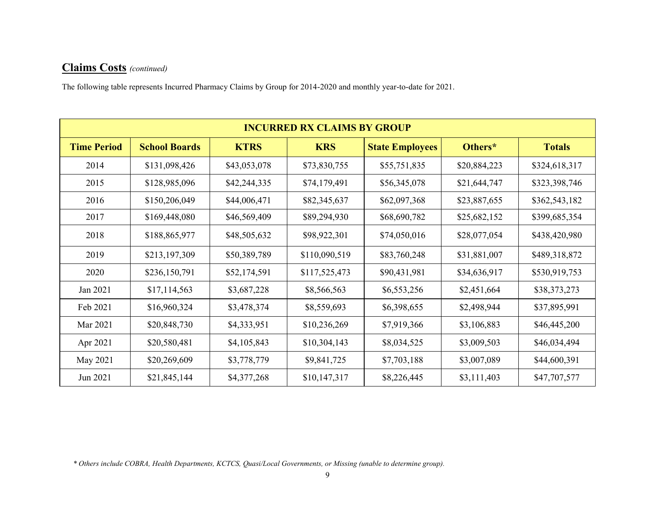The following table represents Incurred Pharmacy Claims by Group for 2014-2020 and monthly year-to-date for 2021.

|                    |                      |              | <b>INCURRED RX CLAIMS BY GROUP</b> |                        |              |               |
|--------------------|----------------------|--------------|------------------------------------|------------------------|--------------|---------------|
| <b>Time Period</b> | <b>School Boards</b> | <b>KTRS</b>  | <b>KRS</b>                         | <b>State Employees</b> | Others*      | <b>Totals</b> |
| 2014               | \$131,098,426        | \$43,053,078 | \$73,830,755                       | \$55,751,835           | \$20,884,223 | \$324,618,317 |
| 2015               | \$128,985,096        | \$42,244,335 | \$74,179,491                       | \$56,345,078           | \$21,644,747 | \$323,398,746 |
| 2016               | \$150,206,049        | \$44,006,471 | \$82,345,637                       | \$62,097,368           | \$23,887,655 | \$362,543,182 |
| 2017               | \$169,448,080        | \$46,569,409 | \$89,294,930                       | \$68,690,782           | \$25,682,152 | \$399,685,354 |
| 2018               | \$188,865,977        | \$48,505,632 | \$98,922,301                       | \$74,050,016           | \$28,077,054 | \$438,420,980 |
| 2019               | \$213,197,309        | \$50,389,789 | \$110,090,519                      | \$83,760,248           | \$31,881,007 | \$489,318,872 |
| 2020               | \$236,150,791        | \$52,174,591 | \$117,525,473                      | \$90,431,981           | \$34,636,917 | \$530,919,753 |
| Jan 2021           | \$17,114,563         | \$3,687,228  | \$8,566,563                        | \$6,553,256            | \$2,451,664  | \$38,373,273  |
| Feb 2021           | \$16,960,324         | \$3,478,374  | \$8,559,693                        | \$6,398,655            | \$2,498,944  | \$37,895,991  |
| Mar 2021           | \$20,848,730         | \$4,333,951  | \$10,236,269                       | \$7,919,366            | \$3,106,883  | \$46,445,200  |
| Apr 2021           | \$20,580,481         | \$4,105,843  | \$10,304,143                       | \$8,034,525            | \$3,009,503  | \$46,034,494  |
| May 2021           | \$20,269,609         | \$3,778,779  | \$9,841,725                        | \$7,703,188            | \$3,007,089  | \$44,600,391  |
| Jun 2021           | \$21,845,144         | \$4,377,268  | \$10,147,317                       | \$8,226,445            | \$3,111,403  | \$47,707,577  |

*\* Others include COBRA, Health Departments, KCTCS, Quasi/Local Governments, or Missing (unable to determine group).*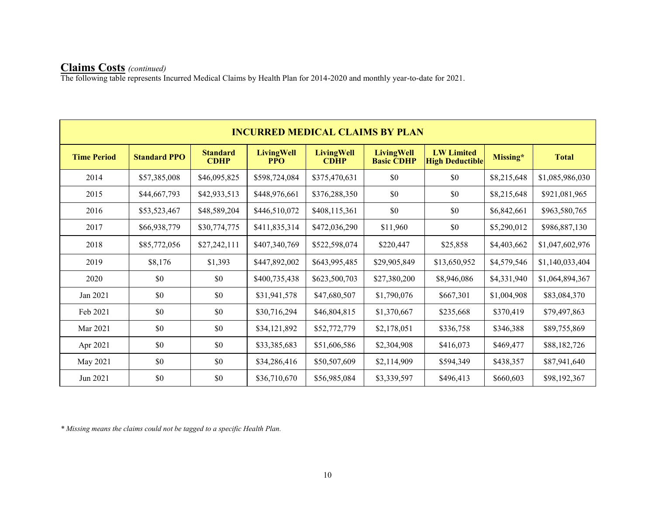The following table represents Incurred Medical Claims by Health Plan for 2014-2020 and monthly year-to-date for 2021.

|                    |                     |                                |                                 |                                  | <b>INCURRED MEDICAL CLAIMS BY PLAN</b> |                                             |             |                 |
|--------------------|---------------------|--------------------------------|---------------------------------|----------------------------------|----------------------------------------|---------------------------------------------|-------------|-----------------|
| <b>Time Period</b> | <b>Standard PPO</b> | <b>Standard</b><br><b>CDHP</b> | <b>LivingWell</b><br><b>PPO</b> | <b>LivingWell</b><br><b>CDHP</b> | <b>LivingWell</b><br><b>Basic CDHP</b> | <b>LW Limited</b><br><b>High Deductible</b> | Missing*    | <b>Total</b>    |
| 2014               | \$57,385,008        | \$46,095,825                   | \$598,724,084                   | \$375,470,631                    | \$0                                    | \$0                                         | \$8,215,648 | \$1,085,986,030 |
| 2015               | \$44,667,793        | \$42,933,513                   | \$448,976,661                   | \$376,288,350                    | \$0                                    | \$0                                         | \$8,215,648 | \$921,081,965   |
| 2016               | \$53,523,467        | \$48,589,204                   | \$446,510,072                   | \$408,115,361                    | \$0                                    | \$0                                         | \$6,842,661 | \$963,580,765   |
| 2017               | \$66,938,779        | \$30,774,775                   | \$411,835,314                   | \$472,036,290                    | \$11,960                               | \$0                                         | \$5,290,012 | \$986,887,130   |
| 2018               | \$85,772,056        | \$27,242,111                   | \$407,340,769                   | \$522,598,074                    | \$220,447                              | \$25,858                                    | \$4,403,662 | \$1,047,602,976 |
| 2019               | \$8,176             | \$1,393                        | \$447,892,002                   | \$643,995,485                    | \$29,905,849                           | \$13,650,952                                | \$4,579,546 | \$1,140,033,404 |
| 2020               | \$0                 | \$0                            | \$400,735,438                   | \$623,500,703                    | \$27,380,200                           | \$8,946,086                                 | \$4,331,940 | \$1,064,894,367 |
| Jan 2021           | \$0                 | \$0                            | \$31,941,578                    | \$47,680,507                     | \$1,790,076                            | \$667,301                                   | \$1,004,908 | \$83,084,370    |
| Feb 2021           | \$0                 | \$0                            | \$30,716,294                    | \$46,804,815                     | \$1,370,667                            | \$235,668                                   | \$370,419   | \$79,497,863    |
| Mar 2021           | \$0                 | \$0                            | \$34,121,892                    | \$52,772,779                     | \$2,178,051                            | \$336,758                                   | \$346,388   | \$89,755,869    |
| Apr 2021           | \$0                 | \$0                            | \$33,385,683                    | \$51,606,586                     | \$2,304,908                            | \$416,073                                   | \$469,477   | \$88,182,726    |
| May 2021           | \$0                 | \$0                            | \$34,286,416                    | \$50,507,609                     | \$2,114,909                            | \$594,349                                   | \$438,357   | \$87,941,640    |
| Jun 2021           | \$0                 | \$0                            | \$36,710,670                    | \$56,985,084                     | \$3,339,597                            | \$496,413                                   | \$660,603   | \$98,192,367    |

*\* Missing means the claims could not be tagged to a specific Health Plan.*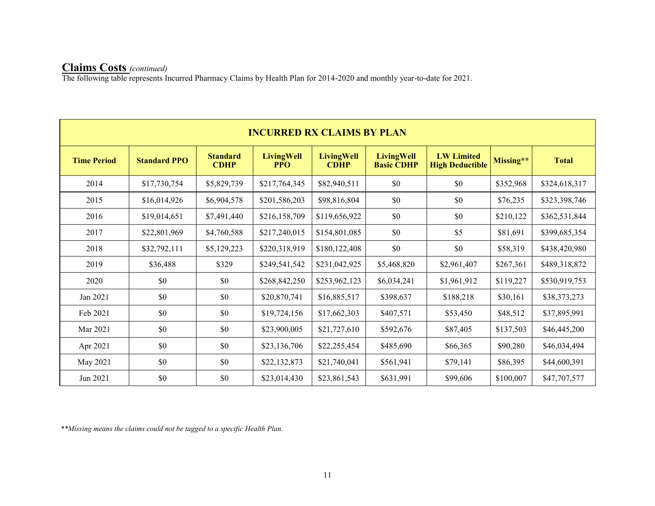The following table represents Incurred Pharmacy Claims by Health Plan for 2014-2020 and monthly year-to-date for 2021.

|                    |                     |                                | <b>INCURRED RX CLAIMS BY PLAN</b> |                                  |                                        |                                             |           |               |
|--------------------|---------------------|--------------------------------|-----------------------------------|----------------------------------|----------------------------------------|---------------------------------------------|-----------|---------------|
| <b>Time Period</b> | <b>Standard PPO</b> | <b>Standard</b><br><b>CDHP</b> | <b>LivingWell</b><br><b>PPO</b>   | <b>LivingWell</b><br><b>CDHP</b> | <b>LivingWell</b><br><b>Basic CDHP</b> | <b>LW Limited</b><br><b>High Deductible</b> | Missing** | <b>Total</b>  |
| 2014               | \$17,730,754        | \$5,829,739                    | \$217,764,345                     | \$82,940,511                     | \$0                                    | \$0                                         | \$352,968 | \$324,618,317 |
| 2015               | \$16,014,926        | \$6,904,578                    | \$201,586,203                     | \$98,816,804                     | \$0                                    | \$0                                         | \$76,235  | \$323,398,746 |
| 2016               | \$19,014,651        | \$7,491,440                    | \$216,158,709                     | \$119,656,922                    | \$0                                    | \$0                                         | \$210,122 | \$362,531,844 |
| 2017               | \$22,801,969        | \$4,760,588                    | \$217,240,015                     | \$154,801,085                    | \$0                                    | \$5                                         | \$81,691  | \$399,685,354 |
| 2018               | \$32,792,111        | \$5,129,223                    | \$220,318,919                     | \$180,122,408                    | \$0                                    | \$0                                         | \$58,319  | \$438,420,980 |
| 2019               | \$36,488            | \$329                          | \$249,541,542                     | \$231,042,925                    | \$5,468,820                            | \$2,961,407                                 | \$267,361 | \$489,318,872 |
| 2020               | \$0                 | \$0                            | \$268,842,250                     | \$253,962,123                    | \$6,034,241                            | \$1,961,912                                 | \$119,227 | \$530,919,753 |
| Jan 2021           | \$0                 | \$0                            | \$20,870,741                      | \$16,885,517                     | \$398,637                              | \$188,218                                   | \$30,161  | \$38,373,273  |
| Feb 2021           | \$0                 | \$0                            | \$19,724,156                      | \$17,662,303                     | \$407,571                              | \$53,450                                    | \$48,512  | \$37,895,991  |
| Mar 2021           | \$0                 | \$0                            | \$23,900,005                      | \$21,727,610                     | \$592,676                              | \$87,405                                    | \$137,503 | \$46,445,200  |
| Apr 2021           | \$0                 | \$0                            | \$23,136,706                      | \$22,255,454                     | \$485,690                              | \$66,365                                    | \$90,280  | \$46,034,494  |
| May 2021           | \$0                 | \$0                            | \$22,132,873                      | \$21,740,041                     | \$561,941                              | \$79,141                                    | \$86,395  | \$44,600,391  |
| Jun 2021           | \$0                 | \$0                            | \$23,014,430                      | \$23,861,543                     | \$631,991                              | \$99,606                                    | \$100,007 | \$47,707,577  |

*\*\*Missing means the claims could not be tagged to a specific Health Plan.*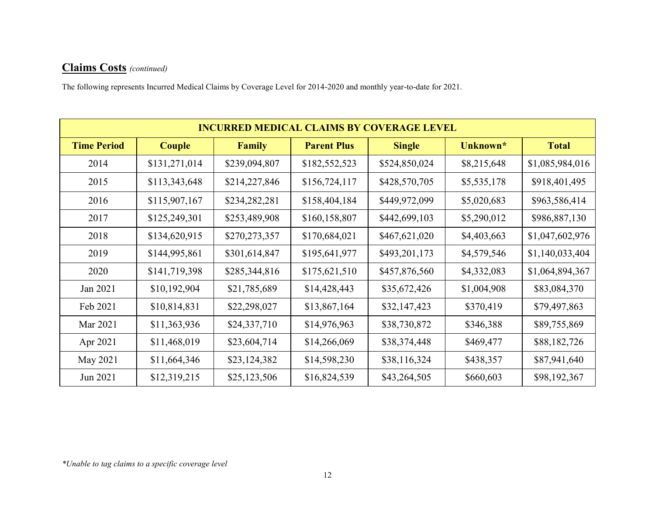The following represents Incurred Medical Claims by Coverage Level for 2014-2020 and monthly year-to-date for 2021.

|                    |               |               |                    | <b>INCURRED MEDICAL CLAIMS BY COVERAGE LEVEL</b> |             |                 |
|--------------------|---------------|---------------|--------------------|--------------------------------------------------|-------------|-----------------|
| <b>Time Period</b> | <b>Couple</b> | <b>Family</b> | <b>Parent Plus</b> | <b>Single</b>                                    | Unknown*    | <b>Total</b>    |
| 2014               | \$131,271,014 | \$239,094,807 | \$182,552,523      | \$524,850,024                                    | \$8,215,648 | \$1,085,984,016 |
| 2015               | \$113,343,648 | \$214,227,846 | \$156,724,117      | \$428,570,705                                    | \$5,535,178 | \$918,401,495   |
| 2016               | \$115,907,167 | \$234,282,281 | \$158,404,184      | \$449,972,099                                    | \$5,020,683 | \$963,586,414   |
| 2017               | \$125,249,301 | \$253,489,908 | \$160,158,807      | \$442,699,103                                    | \$5,290,012 | \$986,887,130   |
| 2018               | \$134,620,915 | \$270,273,357 | \$170,684,021      | \$467,621,020                                    | \$4,403,663 | \$1,047,602,976 |
| 2019               | \$144,995,861 | \$301,614,847 | \$195,641,977      | \$493,201,173                                    | \$4,579,546 | \$1,140,033,404 |
| 2020               | \$141,719,398 | \$285,344,816 | \$175,621,510      | \$457,876,560                                    | \$4,332,083 | \$1,064,894,367 |
| Jan 2021           | \$10,192,904  | \$21,785,689  | \$14,428,443       | \$35,672,426                                     | \$1,004,908 | \$83,084,370    |
| Feb 2021           | \$10,814,831  | \$22,298,027  | \$13,867,164       | \$32,147,423                                     | \$370,419   | \$79,497,863    |
| Mar 2021           | \$11,363,936  | \$24,337,710  | \$14,976,963       | \$38,730,872                                     | \$346,388   | \$89,755,869    |
| Apr 2021           | \$11,468,019  | \$23,604,714  | \$14,266,069       | \$38,374,448                                     | \$469,477   | \$88,182,726    |
| May 2021           | \$11,664,346  | \$23,124,382  | \$14,598,230       | \$38,116,324                                     | \$438,357   | \$87,941,640    |
| Jun 2021           | \$12,319,215  | \$25,123,506  | \$16,824,539       | \$43,264,505                                     | \$660,603   | \$98,192,367    |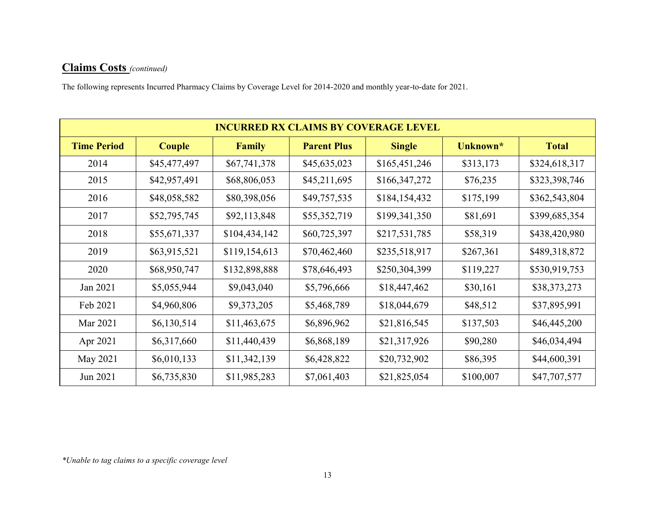The following represents Incurred Pharmacy Claims by Coverage Level for 2014-2020 and monthly year-to-date for 2021.

|                    |              |               |                    | <b>INCURRED RX CLAIMS BY COVERAGE LEVEL</b> |           |               |
|--------------------|--------------|---------------|--------------------|---------------------------------------------|-----------|---------------|
| <b>Time Period</b> | Couple       | <b>Family</b> | <b>Parent Plus</b> | <b>Single</b>                               | Unknown*  | <b>Total</b>  |
| 2014               | \$45,477,497 | \$67,741,378  | \$45,635,023       | \$165,451,246                               | \$313,173 | \$324,618,317 |
| 2015               | \$42,957,491 | \$68,806,053  | \$45,211,695       | \$166,347,272                               | \$76,235  | \$323,398,746 |
| 2016               | \$48,058,582 | \$80,398,056  | \$49,757,535       | \$184,154,432                               | \$175,199 | \$362,543,804 |
| 2017               | \$52,795,745 | \$92,113,848  | \$55,352,719       | \$199,341,350                               | \$81,691  | \$399,685,354 |
| 2018               | \$55,671,337 | \$104,434,142 | \$60,725,397       | \$217,531,785                               | \$58,319  | \$438,420,980 |
| 2019               | \$63,915,521 | \$119,154,613 | \$70,462,460       | \$235,518,917                               | \$267,361 | \$489,318,872 |
| 2020               | \$68,950,747 | \$132,898,888 | \$78,646,493       | \$250,304,399                               | \$119,227 | \$530,919,753 |
| Jan 2021           | \$5,055,944  | \$9,043,040   | \$5,796,666        | \$18,447,462                                | \$30,161  | \$38,373,273  |
| Feb 2021           | \$4,960,806  | \$9,373,205   | \$5,468,789        | \$18,044,679                                | \$48,512  | \$37,895,991  |
| Mar 2021           | \$6,130,514  | \$11,463,675  | \$6,896,962        | \$21,816,545                                | \$137,503 | \$46,445,200  |
| Apr 2021           | \$6,317,660  | \$11,440,439  | \$6,868,189        | \$21,317,926                                | \$90,280  | \$46,034,494  |
| May 2021           | \$6,010,133  | \$11,342,139  | \$6,428,822        | \$20,732,902                                | \$86,395  | \$44,600,391  |
| Jun 2021           | \$6,735,830  | \$11,985,283  | \$7,061,403        | \$21,825,054                                | \$100,007 | \$47,707,577  |

*\*Unable to tag claims to a specific coverage level*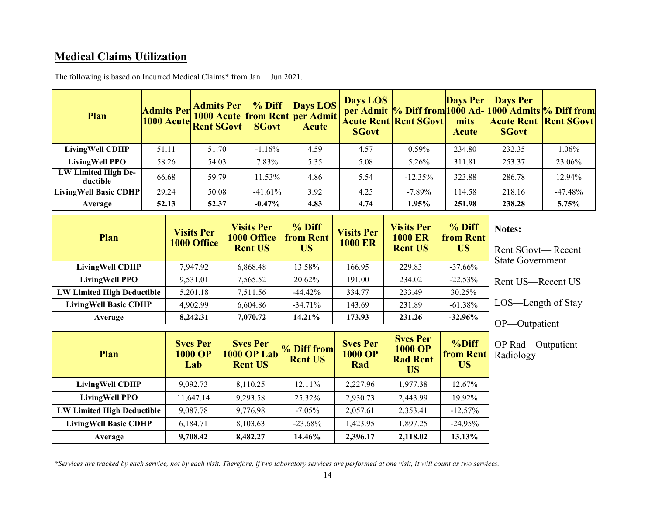### **Medical Claims Utilization**

| Plan                            | <b>Admits Per</b> | <b>Admits Per</b><br><b>1000 Acute from Rent per Admit</b><br>1000 Acute Rent SGovt | % Diff<br><b>SGovt</b>                                    | Days LOS<br><b>Acute</b>                  | Days LOS<br><b>SGovt</b>            | <b>Acute Rent   Rent SGovt  </b>                      | <b>Days Per</b><br>mits<br><b>Acute</b> | <b>Days Per</b><br>per Admit  % Diff from 1000 Ad- 1000 Admits  % Diff from<br><b>Acute Rent   Rent SGovt </b><br><b>SGovt</b> |           |
|---------------------------------|-------------------|-------------------------------------------------------------------------------------|-----------------------------------------------------------|-------------------------------------------|-------------------------------------|-------------------------------------------------------|-----------------------------------------|--------------------------------------------------------------------------------------------------------------------------------|-----------|
| <b>LivingWell CDHP</b>          | 51.11             | 51.70                                                                               | $-1.16%$                                                  | 4.59                                      | 4.57                                | 0.59%                                                 | 234.80                                  | 232.35                                                                                                                         | 1.06%     |
| <b>LivingWell PPO</b>           | 58.26             | 54.03                                                                               | 7.83%                                                     | 5.35                                      | 5.08                                | 5.26%                                                 | 311.81                                  | 253.37                                                                                                                         | 23.06%    |
| LW Limited High De-<br>ductible | 66.68             | 59.79                                                                               | 11.53%                                                    | 4.86                                      | 5.54                                | $-12.35%$                                             | 323.88                                  | 286.78                                                                                                                         | 12.94%    |
| <b>LivingWell Basic CDHP</b>    | 29.24             | 50.08                                                                               | $-41.61\%$                                                | 3.92                                      | 4.25                                | $-7.89\%$                                             | 114.58                                  | 218.16                                                                                                                         | $-47.48%$ |
| Average                         | 52.13             | 52.37                                                                               | $-0.47%$                                                  | 4.83                                      | 4.74                                | 1.95%                                                 | 251.98                                  | 238.28                                                                                                                         | 5.75%     |
| Plan                            |                   | <b>Visits Per</b><br>1000 Office                                                    | <b>Visits Per</b><br><b>1000 Office</b><br><b>Rent US</b> | $%$ Diff<br><b>from Rent</b><br><b>US</b> | <b>Visits Per</b><br><b>1000 ER</b> | <b>Visits Per</b><br><b>1000 ER</b><br><b>Rent US</b> | % Diff<br>from Rent<br><b>US</b>        | Notes:<br><b>Rent SGovt— Recent</b><br>$Q_{t}$ and $Q_{s}$ are also in the set of $\mathbb{R}$                                 |           |

The following is based on Incurred Medical Claims\* from Jan—Jun 2021.

**LivingWell CDHP** 7,947.92 6,868.48 13.58% 166.95 229.83 -37.66% **LivingWell PPO** 9,531.01 7,565.52 20.62% 191.00 234.02 -22.53% **LW Limited High Deductible** 5,201.18 7,511.56 444.42% 334.77 333.49 30.25% **LivingWell Basic CDHP** 4,902.99 6,604.86 -34.71% 143.69 231.89 -61.38% **Average 8,242.31 7,070.72 14.21% 173.93 231.26 -32.96%** State Government Rcnt US—Recent US LOS—Length of Stay OP—Outpatient

| Plan                              | <b>Svcs Per</b><br><b>1000 OP</b><br>Lab | <b>Svcs Per</b><br><b>1000 OP Lab</b><br><b>Rent US</b> | % Diff from<br><b>Rent US</b> | <b>Svcs Per</b><br><b>1000 OP</b><br>Rad | <b>Svcs Per</b><br><b>1000 OP</b><br><b>Rad Rent</b><br>US | %Diff<br><b>from Rent</b><br><b>US</b> |  |
|-----------------------------------|------------------------------------------|---------------------------------------------------------|-------------------------------|------------------------------------------|------------------------------------------------------------|----------------------------------------|--|
| <b>LivingWell CDHP</b>            | 9.092.73                                 | 8,110.25                                                | $12.11\%$                     | 2.227.96                                 | 1,977.38                                                   | 12.67%                                 |  |
| <b>LivingWell PPO</b>             | 11,647.14                                | 9,293.58                                                | 25.32%                        | 2,930.73                                 | 2,443.99                                                   | 19.92%                                 |  |
| <b>LW Limited High Deductible</b> | 9,087.78                                 | 9,776.98                                                | $-7.05\%$                     | 2,057.61                                 | 2,353.41                                                   | $-12.57\%$                             |  |
| <b>LivingWell Basic CDHP</b>      | 6,184.71                                 | 8,103.63                                                | $-23.68\%$                    | 1,423.95                                 | 1,897.25                                                   | $-24.95%$                              |  |
| Average                           | 9,708.42                                 | 8,482.27                                                | 14.46%                        | 2,396.17                                 | 2,118.02                                                   | 13.13%                                 |  |

OP Rad—Outpatient Radiology

*\*Services are tracked by each service, not by each visit. Therefore, if two laboratory services are performed at one visit, it will count as two services.*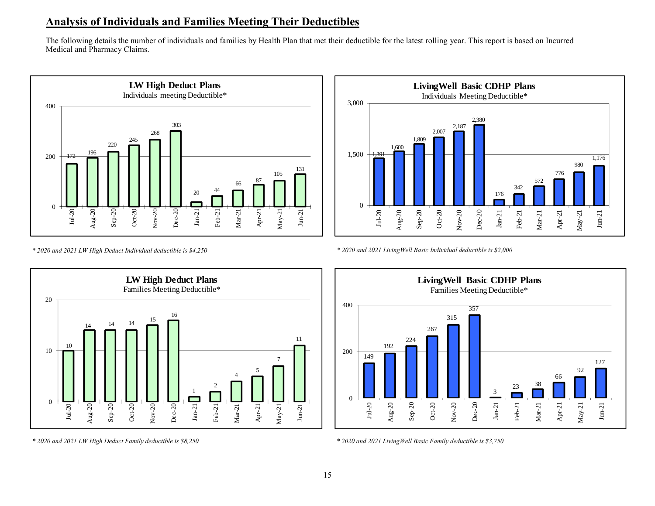### **Analysis of Individuals and Families Meeting Their Deductibles**

The following details the number of individuals and families by Health Plan that met their deductible for the latest rolling year. This report is based on Incurred Medical and Pharmacy Claims.





*\* 2020 and 2021 LW High Deduct Individual deductible is \$4,250*





*<sup>\* 2020</sup> and 2021 LW High Deduct Family deductible is \$8,250*



*\* 2020 and 2021 LivingWell Basic Family deductible is \$3,750*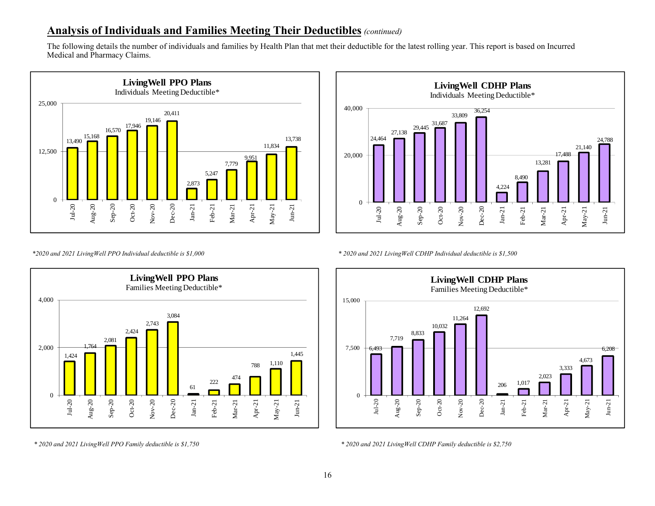#### **Analysis of Individuals and Families Meeting Their Deductibles** *(continued)*

The following details the number of individuals and families by Health Plan that met their deductible for the latest rolling year. This report is based on Incurred Medical and Pharmacy Claims.





*\*2020 and 2021 LivingWell PPO Individual deductible is \$1,000 \* 2020 and 2021 LivingWell CDHP Individual deductible is \$1,500*



*\* 2020 and 2021 LivingWell PPO Family deductible is \$1,750 \* 2020 and 2021 LivingWell CDHP Family deductible is \$2,750*

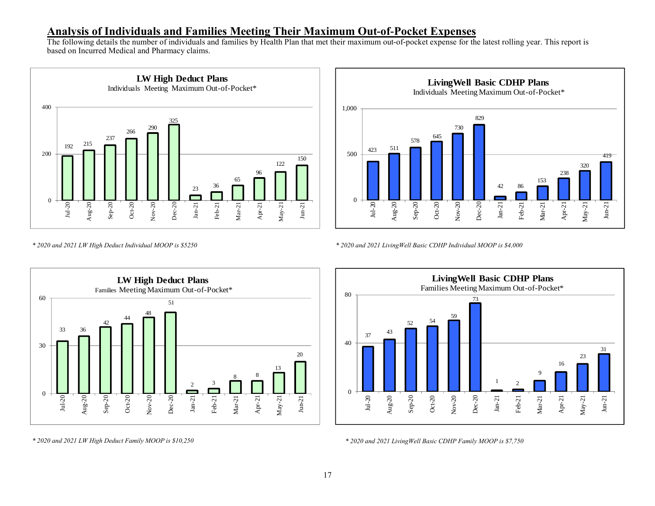#### **Analysis of Individuals and Families Meeting Their Maximum Out-of-Pocket Expenses**

The following details the number of individuals and families by Health Plan that met their maximum out-of-pocket expense for the latest rolling year. This report is based on Incurred Medical and Pharmacy claims.





*\* 2020 and 2021 LW High Deduct Individual MOOP is \$5250*

*\* 2020 and 2021 LivingWell Basic CDHP Individual MOOP is \$4,000*





*\* 2020 and 2021 LivingWell Basic CDHP Family MOOP is \$7,750*

*\* 2020 and 2021 LW High Deduct Family MOOP is \$10,250*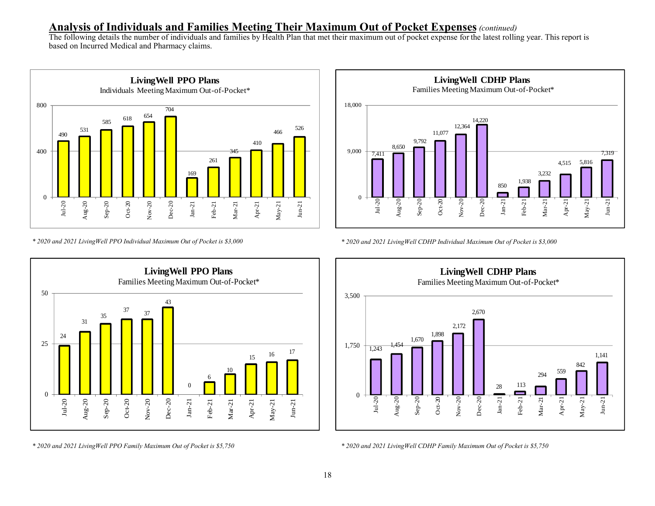#### **Analysis of Individuals and Families Meeting Their Maximum Out of Pocket Expenses***(continued)*

The following details the number of individuals and families by Health Plan that met their maximum out of pocket expense for the latest rolling year. This report is based on Incurred Medical and Pharmacy claims.



*\* 2020 and 2021 LivingWell PPO Individual Maximum Out of Pocket is \$3,000*



*\* 2020 and 2021 LivingWell CDHP Individual Maximum Out of Pocket is \$3,000*



*\* 2020 and 2021 LivingWell PPO Family Maximum Out of Pocket is \$5,750*



*\* 2020 and 2021 LivingWell CDHP Family Maximum Out of Pocket is \$5,750*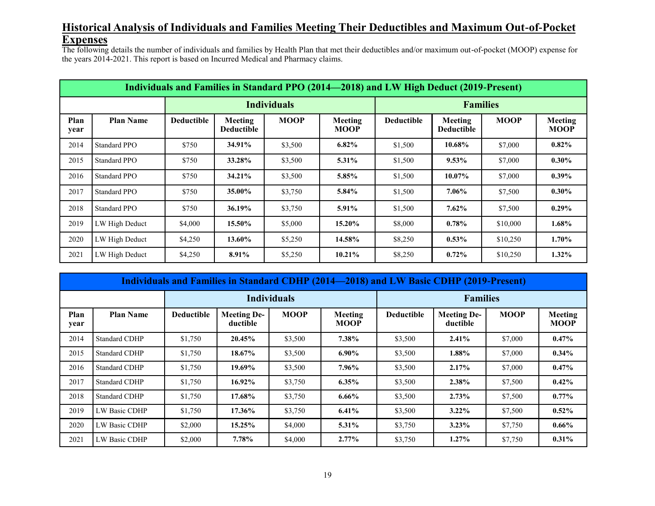#### **Historical Analysis of Individuals and Families Meeting Their Deductibles and Maximum Out-of-Pocket Expenses**

The following details the number of individuals and families by Health Plan that met their deductibles and/or maximum out-of-pocket (MOOP) expense for the years 2014-2021. This report is based on Incurred Medical and Pharmacy claims.

|              | Individuals and Families in Standard PPO (2014—2018) and LW High Deduct (2019-Present) |                   |                       |             |                        |                   |                              |             |                        |  |  |  |
|--------------|----------------------------------------------------------------------------------------|-------------------|-----------------------|-------------|------------------------|-------------------|------------------------------|-------------|------------------------|--|--|--|
|              |                                                                                        | <b>Families</b>   |                       |             |                        |                   |                              |             |                        |  |  |  |
| Plan<br>year | <b>Plan Name</b>                                                                       | <b>Deductible</b> | Meeting<br>Deductible | <b>MOOP</b> | Meeting<br><b>MOOP</b> | <b>Deductible</b> | Meeting<br><b>Deductible</b> | <b>MOOP</b> | Meeting<br><b>MOOP</b> |  |  |  |
| 2014         | Standard PPO                                                                           | \$750             | 34.91%                | \$3,500     | 6.82%                  | \$1,500           | 10.68%                       | \$7,000     | $0.82\%$               |  |  |  |
| 2015         | Standard PPO                                                                           | \$750             | 33.28%                | \$3,500     | $5.31\%$               | \$1,500           | $9.53\%$                     | \$7,000     | $0.30\%$               |  |  |  |
| 2016         | Standard PPO                                                                           | \$750             | 34.21%                | \$3,500     | 5.85%                  | \$1,500           | 10.07%                       | \$7,000     | $0.39\%$               |  |  |  |
| 2017         | <b>Standard PPO</b>                                                                    | \$750             | 35.00%                | \$3,750     | 5.84%                  | \$1,500           | 7.06%                        | \$7,500     | $0.30\%$               |  |  |  |
| 2018         | Standard PPO                                                                           | \$750             | 36.19%                | \$3,750     | 5.91%                  | \$1,500           | $7.62\%$                     | \$7,500     | $0.29\%$               |  |  |  |
| 2019         | LW High Deduct                                                                         | \$4,000           | 15.50%                | \$5,000     | 15.20%                 | \$8,000           | 0.78%                        | \$10,000    | 1.68%                  |  |  |  |
| 2020         | LW High Deduct                                                                         | \$4,250           | 13.60%                | \$5,250     | 14.58%                 | \$8,250           | $0.53\%$                     | \$10,250    | $1.70\%$               |  |  |  |
| 2021         | LW High Deduct                                                                         | \$4,250           | 8.91%                 | \$5,250     | 10.21%                 | \$8,250           | $0.72\%$                     | \$10,250    | $1.32\%$               |  |  |  |

|              | Individuals and Families in Standard CDHP (2014—2018) and LW Basic CDHP (2019-Present) |                   |                                |                    |                        |                   |                                |             |                        |  |  |
|--------------|----------------------------------------------------------------------------------------|-------------------|--------------------------------|--------------------|------------------------|-------------------|--------------------------------|-------------|------------------------|--|--|
|              |                                                                                        |                   |                                | <b>Individuals</b> |                        | <b>Families</b>   |                                |             |                        |  |  |
| Plan<br>year | <b>Plan Name</b>                                                                       | <b>Deductible</b> | <b>Meeting De-</b><br>ductible | <b>MOOP</b>        | Meeting<br><b>MOOP</b> | <b>Deductible</b> | <b>Meeting De-</b><br>ductible | <b>MOOP</b> | Meeting<br><b>MOOP</b> |  |  |
| 2014         | <b>Standard CDHP</b>                                                                   | \$1,750           | 20.45%                         | \$3,500            | 7.38%                  | \$3,500           | 2.41%                          | \$7,000     | $0.47\%$               |  |  |
| 2015         | <b>Standard CDHP</b>                                                                   | \$1,750           | 18.67%                         | \$3,500            | $6.90\%$               | \$3,500           | 1.88%                          | \$7,000     | $0.34\%$               |  |  |
| 2016         | <b>Standard CDHP</b>                                                                   | \$1,750           | 19.69%                         | \$3,500            | 7.96%                  | \$3,500           | 2.17%                          | \$7,000     | $0.47\%$               |  |  |
| 2017         | <b>Standard CDHP</b>                                                                   | \$1,750           | $16.92\%$                      | \$3,750            | $6.35\%$               | \$3,500           | 2.38%                          | \$7,500     | $0.42\%$               |  |  |
| 2018         | <b>Standard CDHP</b>                                                                   | \$1,750           | 17.68%                         | \$3,750            | $6.66\%$               | \$3,500           | 2.73%                          | \$7,500     | $0.77\%$               |  |  |
| 2019         | LW Basic CDHP                                                                          | \$1,750           | 17.36%                         | \$3,750            | 6.41%                  | \$3,500           | $3.22\%$                       | \$7,500     | $0.52\%$               |  |  |
| 2020         | LW Basic CDHP                                                                          | \$2,000           | $15.25\%$                      | \$4,000            | 5.31%                  | \$3,750           | 3.23%                          | \$7,750     | $0.66\%$               |  |  |
| 2021         | LW Basic CDHP                                                                          | \$2,000           | 7.78%                          | \$4,000            | $2.77\%$               | \$3,750           | 1.27%                          | \$7,750     | $0.31\%$               |  |  |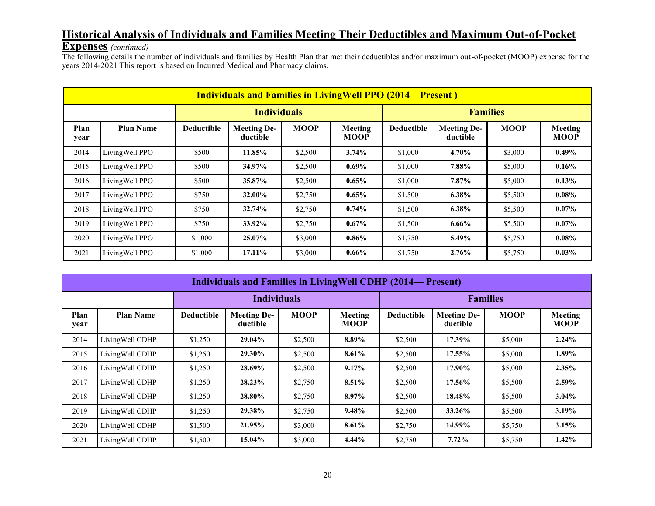## **Historical Analysis of Individuals and Families Meeting Their Deductibles and Maximum Out-of-Pocket**

#### **Expenses** *(continued)*

The following details the number of individuals and families by Health Plan that met their deductibles and/or maximum out-of-pocket (MOOP) expense for the years 2014-2021 This report is based on Incurred Medical and Pharmacy claims.

|              | <b>Individuals and Families in LivingWell PPO (2014—Present)</b> |                   |                                |             |                        |                   |                                |             |                        |  |
|--------------|------------------------------------------------------------------|-------------------|--------------------------------|-------------|------------------------|-------------------|--------------------------------|-------------|------------------------|--|
|              |                                                                  |                   | <b>Individuals</b>             |             |                        | <b>Families</b>   |                                |             |                        |  |
| Plan<br>year | <b>Plan Name</b>                                                 | <b>Deductible</b> | <b>Meeting De-</b><br>ductible | <b>MOOP</b> | Meeting<br><b>MOOP</b> | <b>Deductible</b> | <b>Meeting De-</b><br>ductible | <b>MOOP</b> | Meeting<br><b>MOOP</b> |  |
| 2014         | LivingWell PPO                                                   | \$500             | 11.85%                         | \$2,500     | 3.74%                  | \$1,000           | 4.70%                          | \$3,000     | $0.49\%$               |  |
| 2015         | LivingWell PPO                                                   | \$500             | 34.97%                         | \$2,500     | $0.69\%$               | \$1,000           | 7.88%                          | \$5,000     | $0.16\%$               |  |
| 2016         | LivingWell PPO                                                   | \$500             | 35.87%                         | \$2,500     | $0.65\%$               | \$1,000           | 7.87%                          | \$5,000     | $0.13\%$               |  |
| 2017         | LivingWell PPO                                                   | \$750             | 32.00%                         | \$2,750     | $0.65\%$               | \$1,500           | $6.38\%$                       | \$5,500     | $0.08\%$               |  |
| 2018         | LivingWell PPO                                                   | \$750             | 32.74%                         | \$2,750     | 0.74%                  | \$1,500           | $6.38\%$                       | \$5,500     | $0.07\%$               |  |
| 2019         | LivingWell PPO                                                   | \$750             | 33.92%                         | \$2,750     | $0.67\%$               | \$1,500           | $6.66\%$                       | \$5,500     | $0.07\%$               |  |
| 2020         | LivingWell PPO                                                   | \$1,000           | 25.07%                         | \$3,000     | $0.86\%$               | \$1,750           | 5.49%                          | \$5,750     | $0.08\%$               |  |
| 2021         | LivingWell PPO                                                   | \$1,000           | 17.11%                         | \$3,000     | $0.66\%$               | \$1,750           | 2.76%                          | \$5,750     | $0.03\%$               |  |

|              | <b>Individuals and Families in LivingWell CDHP (2014— Present)</b> |                   |                                |             |                        |                   |                                |             |                               |  |
|--------------|--------------------------------------------------------------------|-------------------|--------------------------------|-------------|------------------------|-------------------|--------------------------------|-------------|-------------------------------|--|
|              |                                                                    |                   | <b>Individuals</b>             |             |                        | <b>Families</b>   |                                |             |                               |  |
| Plan<br>year | <b>Plan Name</b>                                                   | <b>Deductible</b> | <b>Meeting De-</b><br>ductible | <b>MOOP</b> | Meeting<br><b>MOOP</b> | <b>Deductible</b> | <b>Meeting De-</b><br>ductible | <b>MOOP</b> | <b>Meeting</b><br><b>MOOP</b> |  |
| 2014         | LivingWell CDHP                                                    | \$1,250           | 29.04%                         | \$2,500     | 8.89%                  | \$2,500           | 17.39%                         | \$5,000     | 2.24%                         |  |
| 2015         | LivingWell CDHP                                                    | \$1,250           | 29.30%                         | \$2,500     | 8.61%                  | \$2,500           | 17.55%                         | \$5,000     | 1.89%                         |  |
| 2016         | LivingWell CDHP                                                    | \$1,250           | 28.69%                         | \$2,500     | 9.17%                  | \$2,500           | 17.90%                         | \$5,000     | 2.35%                         |  |
| 2017         | LivingWell CDHP                                                    | \$1,250           | 28.23%                         | \$2,750     | 8.51%                  | \$2,500           | 17.56%                         | \$5,500     | 2.59%                         |  |
| 2018         | LivingWell CDHP                                                    | \$1,250           | 28.80%                         | \$2,750     | 8.97%                  | \$2,500           | 18.48%                         | \$5,500     | $3.04\%$                      |  |
| 2019         | LivingWell CDHP                                                    | \$1,250           | 29.38%                         | \$2,750     | 9.48%                  | \$2,500           | 33.26%                         | \$5,500     | 3.19%                         |  |
| 2020         | LivingWell CDHP                                                    | \$1,500           | 21.95%                         | \$3,000     | 8.61%                  | \$2,750           | 14.99%                         | \$5,750     | 3.15%                         |  |
| 2021         | LivingWell CDHP                                                    | \$1,500           | 15.04%                         | \$3,000     | $4.44\%$               | \$2,750           | 7.72%                          | \$5,750     | $1.42\%$                      |  |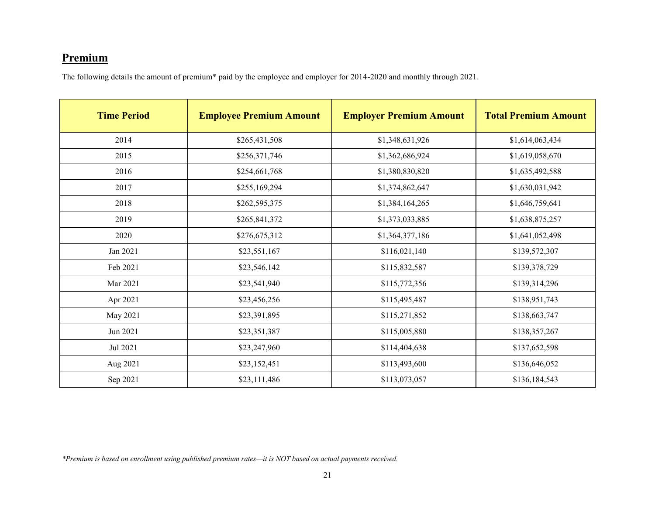## **Premium**

The following details the amount of premium\* paid by the employee and employer for 2014-2020 and monthly through 2021.

| <b>Time Period</b> | <b>Employee Premium Amount</b> | <b>Employer Premium Amount</b> | <b>Total Premium Amount</b> |
|--------------------|--------------------------------|--------------------------------|-----------------------------|
| 2014               | \$265,431,508                  | \$1,348,631,926                | \$1,614,063,434             |
| 2015               | \$256,371,746                  | \$1,362,686,924                | \$1,619,058,670             |
| 2016               | \$254,661,768                  | \$1,380,830,820                | \$1,635,492,588             |
| 2017               | \$255,169,294                  | \$1,374,862,647                | \$1,630,031,942             |
| 2018               | \$262,595,375                  | \$1,384,164,265                | \$1,646,759,641             |
| 2019               | \$265,841,372                  | \$1,373,033,885                | \$1,638,875,257             |
| 2020               | \$276,675,312                  | \$1,364,377,186                | \$1,641,052,498             |
| Jan 2021           | \$23,551,167                   | \$116,021,140                  | \$139,572,307               |
| Feb 2021           | \$23,546,142                   | \$115,832,587                  | \$139,378,729               |
| Mar 2021           | \$23,541,940                   | \$115,772,356                  | \$139,314,296               |
| Apr 2021           | \$23,456,256                   | \$115,495,487                  | \$138,951,743               |
| May 2021           | \$23,391,895                   | \$115,271,852                  | \$138,663,747               |
| Jun 2021           | \$23,351,387                   | \$115,005,880                  | \$138,357,267               |
| Jul 2021           | \$23,247,960                   | \$114,404,638                  | \$137,652,598               |
| Aug 2021           | \$23,152,451                   | \$113,493,600                  | \$136,646,052               |
| Sep 2021           | \$23,111,486                   | \$113,073,057                  | \$136,184,543               |

*\*Premium is based on enrollment using published premium rates—it is NOT based on actual payments received.*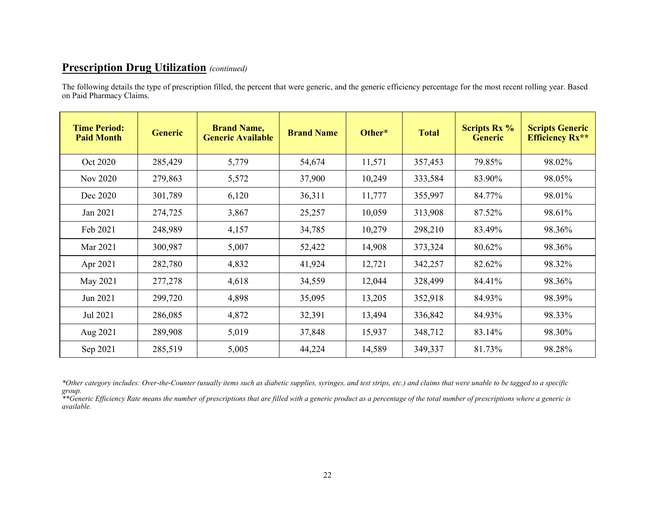The following details the type of prescription filled, the percent that were generic, and the generic efficiency percentage for the most recent rolling year. Based on Paid Pharmacy Claims.

| <b>Time Period:</b><br><b>Paid Month</b> | <b>Generic</b> | <b>Brand Name,</b><br><b>Generic Available</b> | <b>Brand Name</b> | Other* | <b>Total</b> | <b>Scripts Rx %</b><br><b>Generic</b> | <b>Scripts Generic</b><br><b>Efficiency Rx**</b> |
|------------------------------------------|----------------|------------------------------------------------|-------------------|--------|--------------|---------------------------------------|--------------------------------------------------|
| Oct 2020                                 | 285,429        | 5,779                                          | 54,674            | 11,571 | 357,453      | 79.85%                                | 98.02%                                           |
| Nov 2020                                 | 279,863        | 5,572                                          | 37,900            | 10,249 | 333,584      | 83.90%                                | 98.05%                                           |
| Dec 2020                                 | 301,789        | 6,120                                          | 36,311            | 11,777 | 355,997      | 84.77%                                | 98.01%                                           |
| Jan 2021                                 | 274,725        | 3,867                                          | 25,257            | 10,059 | 313,908      | 87.52%                                | 98.61%                                           |
| Feb 2021                                 | 248,989        | 4,157                                          | 34,785            | 10,279 | 298,210      | 83.49%                                | 98.36%                                           |
| Mar 2021                                 | 300,987        | 5,007                                          | 52,422            | 14,908 | 373,324      | 80.62%                                | 98.36%                                           |
| Apr 2021                                 | 282,780        | 4,832                                          | 41,924            | 12,721 | 342,257      | 82.62%                                | 98.32%                                           |
| May 2021                                 | 277,278        | 4,618                                          | 34,559            | 12,044 | 328,499      | 84.41%                                | 98.36%                                           |
| Jun 2021                                 | 299,720        | 4,898                                          | 35,095            | 13,205 | 352,918      | 84.93%                                | 98.39%                                           |
| Jul 2021                                 | 286,085        | 4,872                                          | 32,391            | 13,494 | 336,842      | 84.93%                                | 98.33%                                           |
| Aug 2021                                 | 289,908        | 5,019                                          | 37,848            | 15,937 | 348,712      | 83.14%                                | 98.30%                                           |
| Sep 2021                                 | 285,519        | 5,005                                          | 44,224            | 14,589 | 349,337      | 81.73%                                | 98.28%                                           |

*\*Other category includes: Over-the-Counter (usually items such as diabetic supplies, syringes, and test strips, etc.) and claims that were unable to be tagged to a specific group.*

*\*\*Generic Efficiency Rate means the number of prescriptions that are filled with a generic product as a percentage of the total number of prescriptions where a generic is available.*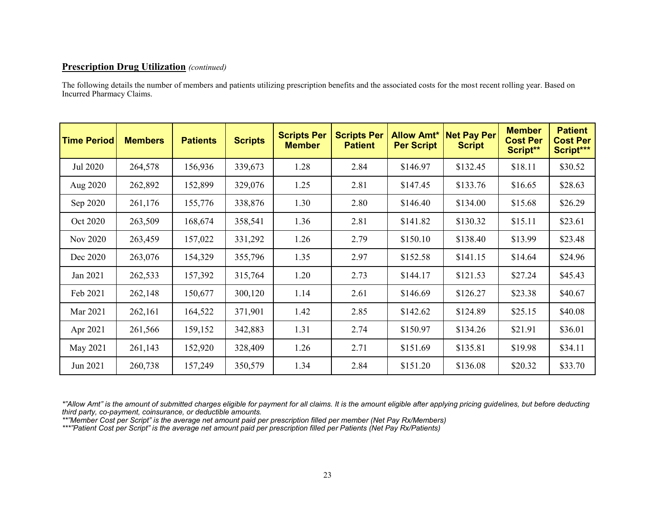The following details the number of members and patients utilizing prescription benefits and the associated costs for the most recent rolling year. Based on Incurred Pharmacy Claims.

| <b>Time Period</b> | <b>Members</b> | <b>Patients</b> | <b>Scripts</b> | <b>Scripts Per</b><br><b>Member</b> | <b>Scripts Per</b><br><b>Patient</b> | <b>Allow Amt*</b><br><b>Per Script</b> | <b>Net Pay Per</b><br><b>Script</b> | <b>Member</b><br><b>Cost Per</b><br>Script** | <b>Patient</b><br><b>Cost Per</b><br>Script*** |
|--------------------|----------------|-----------------|----------------|-------------------------------------|--------------------------------------|----------------------------------------|-------------------------------------|----------------------------------------------|------------------------------------------------|
| Jul 2020           | 264,578        | 156,936         | 339,673        | 1.28                                | 2.84                                 | \$146.97                               | \$132.45                            | \$18.11                                      | \$30.52                                        |
| Aug 2020           | 262,892        | 152,899         | 329,076        | 1.25                                | 2.81                                 | \$147.45                               | \$133.76                            | \$16.65                                      | \$28.63                                        |
| Sep 2020           | 261,176        | 155,776         | 338,876        | 1.30                                | 2.80                                 | \$146.40                               | \$134.00                            | \$15.68                                      | \$26.29                                        |
| Oct 2020           | 263,509        | 168,674         | 358,541        | 1.36                                | 2.81                                 | \$141.82                               | \$130.32                            | \$15.11                                      | \$23.61                                        |
| Nov 2020           | 263,459        | 157,022         | 331,292        | 1.26                                | 2.79                                 | \$150.10                               | \$138.40                            | \$13.99                                      | \$23.48                                        |
| Dec 2020           | 263,076        | 154,329         | 355,796        | 1.35                                | 2.97                                 | \$152.58                               | \$141.15                            | \$14.64                                      | \$24.96                                        |
| Jan 2021           | 262,533        | 157,392         | 315,764        | 1.20                                | 2.73                                 | \$144.17                               | \$121.53                            | \$27.24                                      | \$45.43                                        |
| Feb 2021           | 262,148        | 150,677         | 300,120        | 1.14                                | 2.61                                 | \$146.69                               | \$126.27                            | \$23.38                                      | \$40.67                                        |
| Mar 2021           | 262,161        | 164,522         | 371,901        | 1.42                                | 2.85                                 | \$142.62                               | \$124.89                            | \$25.15                                      | \$40.08                                        |
| Apr 2021           | 261,566        | 159,152         | 342,883        | 1.31                                | 2.74                                 | \$150.97                               | \$134.26                            | \$21.91                                      | \$36.01                                        |
| May 2021           | 261,143        | 152,920         | 328,409        | 1.26                                | 2.71                                 | \$151.69                               | \$135.81                            | \$19.98                                      | \$34.11                                        |
| Jun 2021           | 260,738        | 157,249         | 350,579        | 1.34                                | 2.84                                 | \$151.20                               | \$136.08                            | \$20.32                                      | \$33.70                                        |

*\*"Allow Amt" is the amount of submitted charges eligible for payment for all claims. It is the amount eligible after applying pricing guidelines, but before deducting third party, co-payment, coinsurance, or deductible amounts.*

*\*\*"Member Cost per Script" is the average net amount paid per prescription filled per member (Net Pay Rx/Members)*

*\*\*\*"Patient Cost per Script" is the average net amount paid per prescription filled per Patients (Net Pay Rx/Patients)*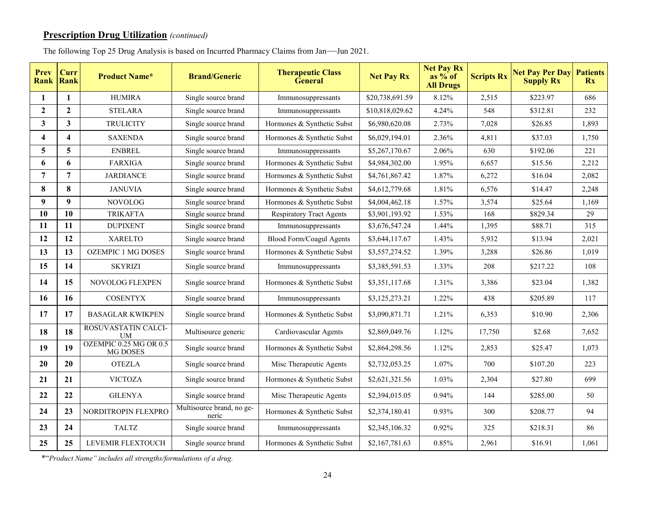| The following Top 25 Drug Analysis is based on Incurred Pharmacy Claims from Jan—Jun 2021. |  |  |
|--------------------------------------------------------------------------------------------|--|--|
|                                                                                            |  |  |

| Prev                    | Curr<br><b>Rank Rank</b> | <b>Product Name*</b>                      | <b>Brand/Generic</b>               | <b>Therapeutic Class</b><br><b>General</b> | <b>Net Pay Rx</b> | <b>Net Pay Rx</b><br>as $%$ of<br><b>All Drugs</b> | <b>Scripts Rx</b> | <b>Net Pay Per Day</b><br><b>Supply Rx</b> | <b>Patients</b><br><b>Rx</b> |
|-------------------------|--------------------------|-------------------------------------------|------------------------------------|--------------------------------------------|-------------------|----------------------------------------------------|-------------------|--------------------------------------------|------------------------------|
| 1                       | 1                        | <b>HUMIRA</b>                             | Single source brand                | Immunosuppressants                         | \$20,738,691.59   | 8.12%                                              | 2,515             | \$223.97                                   | 686                          |
| $\mathbf{2}$            | $\mathbf{2}$             | <b>STELARA</b>                            | Single source brand                | Immunosuppressants                         | \$10,818,029.62   | 4.24%                                              | 548               | \$312.81                                   | 232                          |
| $\overline{\mathbf{3}}$ | $\mathbf{3}$             | <b>TRULICITY</b>                          | Single source brand                | Hormones & Synthetic Subst                 | \$6,980,620.08    | 2.73%                                              | 7,028             | \$26.85                                    | 1,893                        |
| $\overline{\mathbf{4}}$ | $\overline{\mathbf{4}}$  | <b>SAXENDA</b>                            | Single source brand                | Hormones & Synthetic Subst                 | \$6,029,194.01    | 2.36%                                              | 4,811             | \$37.03                                    | 1,750                        |
| 5                       | 5                        | <b>ENBREL</b>                             | Single source brand                | Immunosuppressants                         | \$5,267,170.67    | 2.06%                                              | 630               | \$192.06                                   | 221                          |
| 6                       | 6                        | <b>FARXIGA</b>                            | Single source brand                | Hormones & Synthetic Subst                 | \$4,984,302.00    | 1.95%                                              | 6,657             | \$15.56                                    | 2,212                        |
| $\overline{7}$          | $\overline{7}$           | <b>JARDIANCE</b>                          | Single source brand                | Hormones & Synthetic Subst                 | \$4,761,867.42    | 1.87%                                              | 6,272             | \$16.04                                    | 2,082                        |
| 8                       | 8                        | <b>JANUVIA</b>                            | Single source brand                | Hormones & Synthetic Subst                 | \$4,612,779.68    | 1.81%                                              | 6,576             | \$14.47                                    | 2,248                        |
| 9                       | $\boldsymbol{9}$         | <b>NOVOLOG</b>                            | Single source brand                | Hormones & Synthetic Subst                 | \$4,004,462.18    | 1.57%                                              | 3,574             | \$25.64                                    | 1,169                        |
| 10                      | 10                       | <b>TRIKAFTA</b>                           | Single source brand                | <b>Respiratory Tract Agents</b>            | \$3,901,193.92    | 1.53%                                              | 168               | \$829.34                                   | 29                           |
| 11                      | 11                       | <b>DUPIXENT</b>                           | Single source brand                | Immunosuppressants                         | \$3,676,547.24    | 1.44%                                              | 1,395             | \$88.71                                    | 315                          |
| 12                      | 12                       | <b>XARELTO</b>                            | Single source brand                | Blood Form/Coagul Agents                   | \$3,644,117.67    | 1.43%                                              | 5,932             | \$13.94                                    | 2,021                        |
| 13                      | 13                       | <b>OZEMPIC 1 MG DOSES</b>                 | Single source brand                | Hormones & Synthetic Subst                 | \$3,557,274.52    | 1.39%                                              | 3,288             | \$26.86                                    | 1,019                        |
| 15                      | 14                       | <b>SKYRIZI</b>                            | Single source brand                | Immunosuppressants                         | \$3,385,591.53    | 1.33%                                              | 208               | \$217.22                                   | 108                          |
| 14                      | 15                       | NOVOLOG FLEXPEN                           | Single source brand                | Hormones & Synthetic Subst                 | \$3,351,117.68    | 1.31%                                              | 3,386             | \$23.04                                    | 1,382                        |
| 16                      | 16                       | <b>COSENTYX</b>                           | Single source brand                | Immunosuppressants                         | \$3,125,273.21    | 1.22%                                              | 438               | \$205.89                                   | 117                          |
| 17                      | 17                       | <b>BASAGLAR KWIKPEN</b>                   | Single source brand                | Hormones & Synthetic Subst                 | \$3,090,871.71    | 1.21%                                              | 6,353             | \$10.90                                    | 2,306                        |
| 18                      | 18                       | ROSUVASTATIN CALCI-<br>UM                 | Multisource generic                | Cardiovascular Agents                      | \$2,869,049.76    | 1.12%                                              | 17,750            | \$2.68                                     | 7,652                        |
| 19                      | 19                       | OZEMPIC 0.25 MG OR 0.5<br><b>MG DOSES</b> | Single source brand                | Hormones & Synthetic Subst                 | \$2,864,298.56    | 1.12%                                              | 2,853             | \$25.47                                    | 1,073                        |
| 20                      | 20                       | <b>OTEZLA</b>                             | Single source brand                | Misc Therapeutic Agents                    | \$2,732,053.25    | 1.07%                                              | 700               | \$107.20                                   | 223                          |
| 21                      | 21                       | <b>VICTOZA</b>                            | Single source brand                | Hormones & Synthetic Subst                 | \$2,621,321.56    | 1.03%                                              | 2,304             | \$27.80                                    | 699                          |
| 22                      | 22                       | <b>GILENYA</b>                            | Single source brand                | Misc Therapeutic Agents                    | \$2,394,015.05    | 0.94%                                              | 144               | \$285.00                                   | 50                           |
| 24                      | 23                       | NORDITROPIN FLEXPRO                       | Multisource brand, no ge-<br>neric | Hormones & Synthetic Subst                 | \$2,374,180.41    | 0.93%                                              | 300               | \$208.77                                   | 94                           |
| 23                      | 24                       | <b>TALTZ</b>                              | Single source brand                | Immunosuppressants                         | \$2,345,106.32    | 0.92%                                              | 325               | \$218.31                                   | 86                           |
| 25                      | 25                       | LEVEMIR FLEXTOUCH                         | Single source brand                | Hormones & Synthetic Subst                 | \$2,167,781.63    | 0.85%                                              | 2,961             | \$16.91                                    | 1,061                        |

\*"*Product Name" includes all strengths/formulations of a drug.*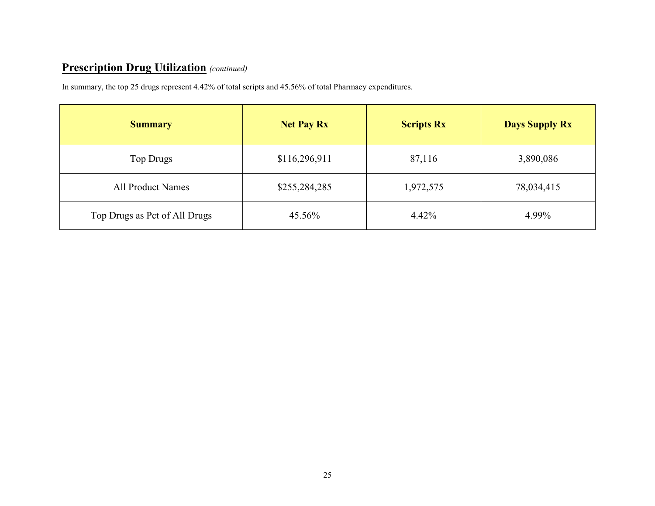In summary, the top 25 drugs represent 4.42% of total scripts and 45.56% of total Pharmacy expenditures.

| <b>Summary</b>                | <b>Net Pay Rx</b> | <b>Scripts Rx</b> | <b>Days Supply Rx</b> |
|-------------------------------|-------------------|-------------------|-----------------------|
| Top Drugs                     | \$116,296,911     | 87,116            | 3,890,086             |
| <b>All Product Names</b>      | \$255,284,285     | 1,972,575         | 78,034,415            |
| Top Drugs as Pct of All Drugs | 45.56%            | 4.42%             | 4.99%                 |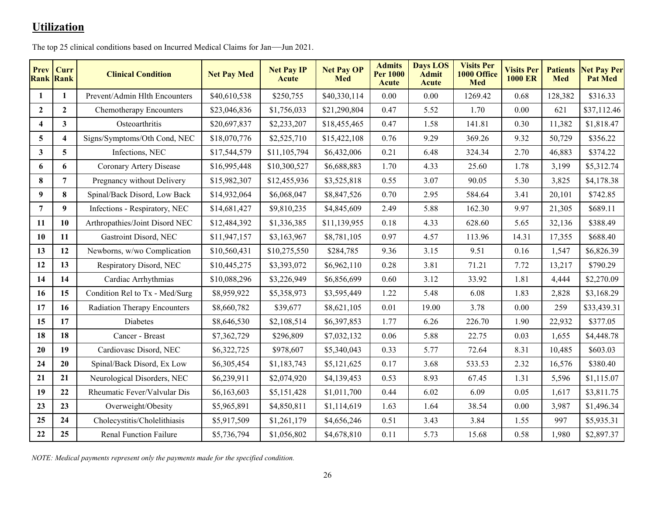## **Utilization**

| <b>Prev</b> Curr<br><b>Rank Rank</b> |              | <b>Clinical Condition</b>           | <b>Net Pay Med</b> | <b>Net Pay IP</b><br><b>Acute</b> | <b>Net Pay OP</b><br><b>Med</b> | <b>Admits</b><br><b>Per 1000</b><br>Acute | <b>Days LOS</b><br><b>Admit</b><br>Acute | <b>Visits Per</b><br>1000 Office<br><b>Med</b> | <b>Visits Per</b><br><b>1000 ER</b> | <b>Patients</b><br><b>Med</b> | <b>Net Pay Per</b><br><b>Pat Med</b> |
|--------------------------------------|--------------|-------------------------------------|--------------------|-----------------------------------|---------------------------------|-------------------------------------------|------------------------------------------|------------------------------------------------|-------------------------------------|-------------------------------|--------------------------------------|
| 1                                    | $\mathbf{1}$ | Prevent/Admin Hlth Encounters       | \$40,610,538       | \$250,755                         | \$40,330,114                    | 0.00                                      | 0.00                                     | 1269.42                                        | 0.68                                | 128,382                       | \$316.33                             |
| $\mathbf{2}$                         | $\mathbf{2}$ | Chemotherapy Encounters             | \$23,046,836       | \$1,756,033                       | \$21,290,804                    | 0.47                                      | 5.52                                     | 1.70                                           | 0.00                                | 621                           | \$37,112.46                          |
| 4                                    | 3            | Osteoarthritis                      | \$20,697,837       | \$2,233,207                       | \$18,455,465                    | 0.47                                      | 1.58                                     | 141.81                                         | 0.30                                | 11,382                        | \$1,818.47                           |
| 5                                    | 4            | Signs/Symptoms/Oth Cond, NEC        | \$18,070,776       | \$2,525,710                       | \$15,422,108                    | 0.76                                      | 9.29                                     | 369.26                                         | 9.32                                | 50,729                        | \$356.22                             |
| $\mathbf{3}$                         | 5            | Infections, NEC                     | \$17,544,579       | \$11,105,794                      | \$6,432,006                     | 0.21                                      | 6.48                                     | 324.34                                         | 2.70                                | 46,883                        | \$374.22                             |
| 6                                    | 6            | Coronary Artery Disease             | \$16,995,448       | \$10,300,527                      | \$6,688,883                     | 1.70                                      | 4.33                                     | 25.60                                          | 1.78                                | 3,199                         | \$5,312.74                           |
| 8                                    | 7            | Pregnancy without Delivery          | \$15,982,307       | \$12,455,936                      | \$3,525,818                     | 0.55                                      | 3.07                                     | 90.05                                          | 5.30                                | 3,825                         | \$4,178.38                           |
| 9                                    | 8            | Spinal/Back Disord, Low Back        | \$14,932,064       | \$6,068,047                       | \$8,847,526                     | 0.70                                      | 2.95                                     | 584.64                                         | 3.41                                | 20,101                        | \$742.85                             |
| 7                                    | 9            | Infections - Respiratory, NEC       | \$14,681,427       | \$9,810,235                       | \$4,845,609                     | 2.49                                      | 5.88                                     | 162.30                                         | 9.97                                | 21,305                        | \$689.11                             |
| 11                                   | 10           | Arthropathies/Joint Disord NEC      | \$12,484,392       | \$1,336,385                       | \$11,139,955                    | 0.18                                      | 4.33                                     | 628.60                                         | 5.65                                | 32,136                        | \$388.49                             |
| 10                                   | 11           | Gastroint Disord, NEC               | \$11,947,157       | \$3,163,967                       | \$8,781,105                     | 0.97                                      | 4.57                                     | 113.96                                         | 14.31                               | 17,355                        | \$688.40                             |
| 13                                   | 12           | Newborns, w/wo Complication         | \$10,560,431       | \$10,275,550                      | \$284,785                       | 9.36                                      | 3.15                                     | 9.51                                           | 0.16                                | 1,547                         | \$6,826.39                           |
| 12                                   | 13           | Respiratory Disord, NEC             | \$10,445,275       | \$3,393,072                       | \$6,962,110                     | 0.28                                      | 3.81                                     | 71.21                                          | 7.72                                | 13,217                        | \$790.29                             |
| 14                                   | 14           | Cardiac Arrhythmias                 | \$10,088,296       | \$3,226,949                       | \$6,856,699                     | 0.60                                      | 3.12                                     | 33.92                                          | 1.81                                | 4,444                         | \$2,270.09                           |
| 16                                   | 15           | Condition Rel to Tx - Med/Surg      | \$8,959,922        | \$5,358,973                       | \$3,595,449                     | 1.22                                      | 5.48                                     | 6.08                                           | 1.83                                | 2,828                         | \$3,168.29                           |
| 17                                   | 16           | <b>Radiation Therapy Encounters</b> | \$8,660,782        | \$39,677                          | \$8,621,105                     | 0.01                                      | 19.00                                    | 3.78                                           | 0.00                                | 259                           | \$33,439.31                          |
| 15                                   | 17           | Diabetes                            | \$8,646,530        | \$2,108,514                       | \$6,397,853                     | 1.77                                      | 6.26                                     | 226.70                                         | 1.90                                | 22,932                        | \$377.05                             |
| 18                                   | 18           | Cancer - Breast                     | \$7,362,729        | \$296,809                         | \$7,032,132                     | 0.06                                      | 5.88                                     | 22.75                                          | 0.03                                | 1,655                         | \$4,448.78                           |
| 20                                   | 19           | Cardiovasc Disord, NEC              | \$6,322,725        | \$978,607                         | \$5,340,043                     | 0.33                                      | 5.77                                     | 72.64                                          | 8.31                                | 10,485                        | \$603.03                             |
| 24                                   | 20           | Spinal/Back Disord, Ex Low          | \$6,305,454        | \$1,183,743                       | \$5,121,625                     | 0.17                                      | 3.68                                     | 533.53                                         | 2.32                                | 16,576                        | \$380.40                             |
| 21                                   | 21           | Neurological Disorders, NEC         | \$6,239,911        | \$2,074,920                       | \$4,139,453                     | 0.53                                      | 8.93                                     | 67.45                                          | 1.31                                | 5,596                         | \$1,115.07                           |
| 19                                   | 22           | Rheumatic Fever/Valvular Dis        | \$6,163,603        | \$5,151,428                       | \$1,011,700                     | 0.44                                      | 6.02                                     | 6.09                                           | 0.05                                | 1,617                         | \$3,811.75                           |
| 23                                   | 23           | Overweight/Obesity                  | \$5,965,891        | \$4,850,811                       | \$1,114,619                     | 1.63                                      | 1.64                                     | 38.54                                          | 0.00                                | 3,987                         | \$1,496.34                           |
| 25                                   | 24           | Cholecystitis/Cholelithiasis        | \$5,917,509        | \$1,261,179                       | \$4,656,246                     | 0.51                                      | 3.43                                     | 3.84                                           | 1.55                                | 997                           | \$5,935.31                           |
| 22                                   | 25           | <b>Renal Function Failure</b>       | \$5,736,794        | \$1,056,802                       | \$4,678,810                     | 0.11                                      | 5.73                                     | 15.68                                          | 0.58                                | 1,980                         | \$2,897.37                           |

The top 25 clinical conditions based on Incurred Medical Claims for Jan—Jun 2021.

*NOTE: Medical payments represent only the payments made for the specified condition.*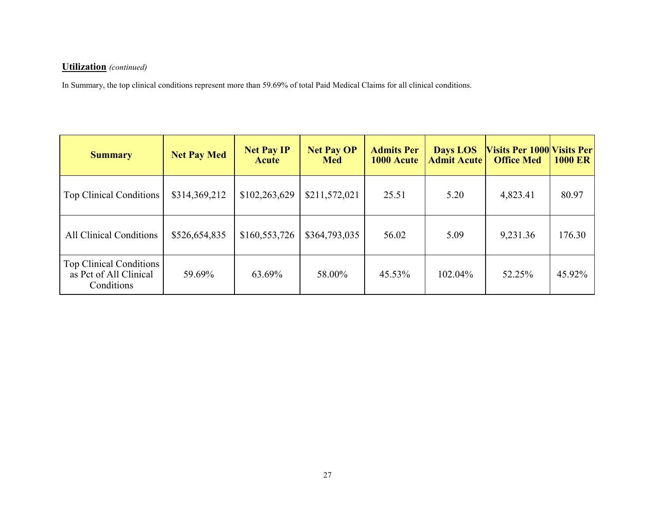#### **Utilization** *(continued)*

In Summary, the top clinical conditions represent more than 59.69% of total Paid Medical Claims for all clinical conditions.

| <b>Summary</b>                                                         | <b>Net Pay Med</b> | <b>Net Pay IP</b><br><b>Acute</b> | <b>Net Pay OP</b><br><b>Med</b> | <b>Admits Per</b><br>1000 Acute | <b>Days LOS</b><br><b>Admit Acute</b> | <b>Visits Per 1000 Visits Per</b><br><b>Office Med</b> | <b>1000 ER</b> |
|------------------------------------------------------------------------|--------------------|-----------------------------------|---------------------------------|---------------------------------|---------------------------------------|--------------------------------------------------------|----------------|
| Top Clinical Conditions                                                | \$314,369,212      | \$102,263,629                     | \$211,572,021                   | 25.51                           | 5.20                                  | 4,823.41                                               | 80.97          |
| <b>All Clinical Conditions</b>                                         | \$526,654,835      | \$160,553,726                     | \$364,793,035                   | 56.02                           | 5.09                                  | 9,231.36                                               | 176.30         |
| <b>Top Clinical Conditions</b><br>as Pct of All Clinical<br>Conditions | 59.69%             | 63.69%                            | 58.00%                          | 45.53%                          | 102.04%                               | 52.25%                                                 | 45.92%         |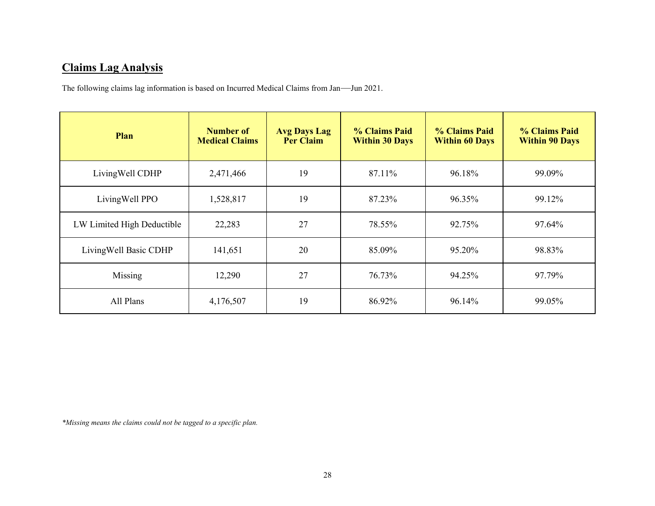## **Claims Lag Analysis**

The following claims lag information is based on Incurred Medical Claims from Jan—Jun 2021.

| Plan                       | Number of<br><b>Medical Claims</b> | <b>Avg Days Lag</b><br>Per Claim | % Claims Paid<br><b>Within 30 Days</b> | % Claims Paid<br><b>Within 60 Days</b> | % Claims Paid<br><b>Within 90 Days</b> |
|----------------------------|------------------------------------|----------------------------------|----------------------------------------|----------------------------------------|----------------------------------------|
| LivingWell CDHP            | 2,471,466                          | 19                               | 87.11%                                 | 96.18%                                 | 99.09%                                 |
| LivingWell PPO             | 1,528,817                          | 19                               | 87.23%                                 | 96.35%                                 | 99.12%                                 |
| LW Limited High Deductible | 22,283                             | 27                               | 78.55%                                 | 92.75%                                 | 97.64%                                 |
| Living Well Basic CDHP     | 141,651                            | 20                               | 85.09%                                 | 95.20%                                 | 98.83%                                 |
| Missing                    | 12,290                             | 27                               | 76.73%                                 | 94.25%                                 | 97.79%                                 |
| All Plans                  | 4,176,507                          | 19                               | 86.92%                                 | 96.14%                                 | 99.05%                                 |

*\*Missing means the claims could not be tagged to a specific plan.*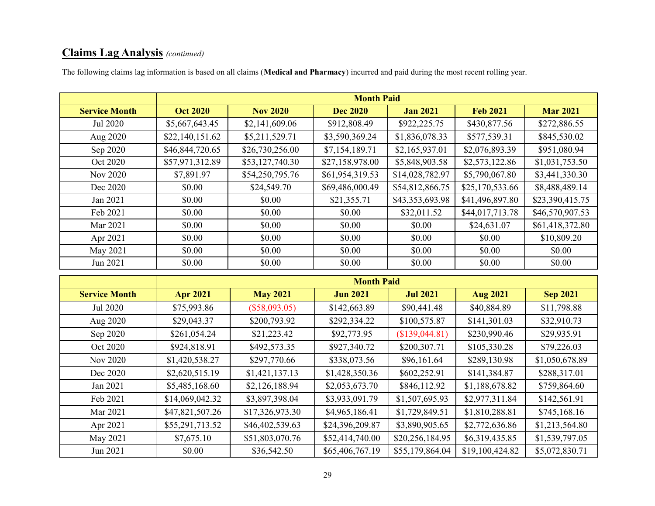## **Claims Lag Analysis** *(continued)*

|                      |                 |                 | <b>Month Paid</b> |                 |                 |                 |
|----------------------|-----------------|-----------------|-------------------|-----------------|-----------------|-----------------|
| <b>Service Month</b> | <b>Oct 2020</b> | <b>Nov 2020</b> | <b>Dec 2020</b>   | <b>Jan 2021</b> | <b>Feb 2021</b> | <b>Mar 2021</b> |
| Jul 2020             | \$5,667,643.45  | \$2,141,609.06  | \$912,808.49      | \$922,225.75    | \$430,877.56    | \$272,886.55    |
| Aug 2020             | \$22,140,151.62 | \$5,211,529.71  | \$3,590,369.24    | \$1,836,078.33  | \$577,539.31    | \$845,530.02    |
| Sep 2020             | \$46,844,720.65 | \$26,730,256.00 | \$7,154,189.71    | \$2,165,937.01  | \$2,076,893.39  | \$951,080.94    |
| Oct 2020             | \$57,971,312.89 | \$53,127,740.30 | \$27,158,978.00   | \$5,848,903.58  | \$2,573,122.86  | \$1,031,753.50  |
| Nov 2020             | \$7,891.97      | \$54,250,795.76 | \$61,954,319.53   | \$14,028,782.97 | \$5,790,067.80  | \$3,441,330.30  |
| Dec 2020             | \$0.00          | \$24,549.70     | \$69,486,000.49   | \$54,812,866.75 | \$25,170,533.66 | \$8,488,489.14  |
| Jan 2021             | \$0.00          | \$0.00          | \$21,355.71       | \$43,353,693.98 | \$41,496,897.80 | \$23,390,415.75 |
| Feb 2021             | \$0.00          | \$0.00          | \$0.00            | \$32,011.52     | \$44,017,713.78 | \$46,570,907.53 |
| Mar 2021             | \$0.00          | \$0.00          | \$0.00            | \$0.00          | \$24,631.07     | \$61,418,372.80 |
| Apr 2021             | \$0.00          | \$0.00          | \$0.00            | \$0.00          | \$0.00          | \$10,809.20     |
| May 2021             | \$0.00          | \$0.00          | \$0.00            | \$0.00          | \$0.00          | \$0.00          |
| Jun 2021             | \$0.00          | \$0.00          | \$0.00            | \$0.00          | \$0.00          | \$0.00          |

The following claims lag information is based on all claims (**Medical and Pharmacy**) incurred and paid during the most recent rolling year.

|                      | <b>Month Paid</b> |                 |                 |                 |                 |                 |  |
|----------------------|-------------------|-----------------|-----------------|-----------------|-----------------|-----------------|--|
| <b>Service Month</b> | <b>Apr 2021</b>   | <b>May 2021</b> | <b>Jun 2021</b> | <b>Jul 2021</b> | <b>Aug 2021</b> | <b>Sep 2021</b> |  |
| Jul 2020             | \$75,993.86       | $(\$58,093.05)$ | \$142,663.89    | \$90,441.48     | \$40,884.89     | \$11,798.88     |  |
| Aug 2020             | \$29,043.37       | \$200,793.92    | \$292,334.22    | \$100,575.87    | \$141,301.03    | \$32,910.73     |  |
| Sep 2020             | \$261,054.24      | \$21,223.42     | \$92,773.95     | (\$139,044.81)  | \$230,990.46    | \$29,935.91     |  |
| Oct 2020             | \$924,818.91      | \$492,573.35    | \$927,340.72    | \$200,307.71    | \$105,330.28    | \$79,226.03     |  |
| Nov 2020             | \$1,420,538.27    | \$297,770.66    | \$338,073.56    | \$96,161.64     | \$289,130.98    | \$1,050,678.89  |  |
| Dec 2020             | \$2,620,515.19    | \$1,421,137.13  | \$1,428,350.36  | \$602,252.91    | \$141,384.87    | \$288,317.01    |  |
| Jan 2021             | \$5,485,168.60    | \$2,126,188.94  | \$2,053,673.70  | \$846,112.92    | \$1,188,678.82  | \$759,864.60    |  |
| Feb 2021             | \$14,069,042.32   | \$3,897,398.04  | \$3,933,091.79  | \$1,507,695.93  | \$2,977,311.84  | \$142,561.91    |  |
| Mar 2021             | \$47,821,507.26   | \$17,326,973.30 | \$4,965,186.41  | \$1,729,849.51  | \$1,810,288.81  | \$745,168.16    |  |
| Apr 2021             | \$55,291,713.52   | \$46,402,539.63 | \$24,396,209.87 | \$3,890,905.65  | \$2,772,636.86  | \$1,213,564.80  |  |
| May 2021             | \$7,675.10        | \$51,803,070.76 | \$52,414,740.00 | \$20,256,184.95 | \$6,319,435.85  | \$1,539,797.05  |  |
| Jun 2021             | \$0.00            | \$36,542.50     | \$65,406,767.19 | \$55,179,864.04 | \$19,100,424.82 | \$5,072,830.71  |  |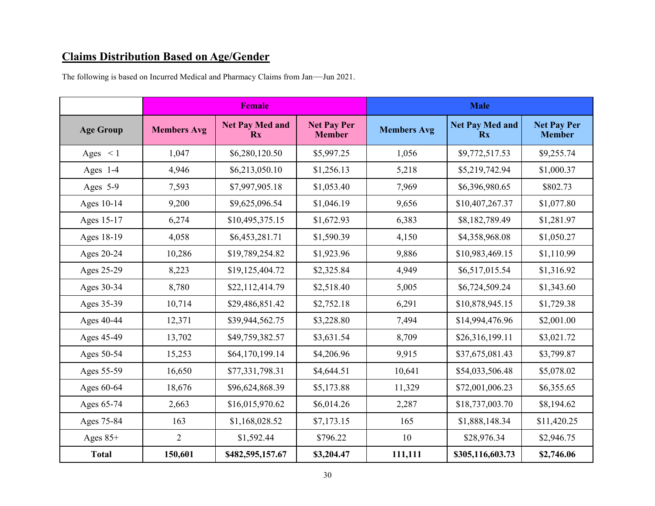## **Claims Distribution Based on Age/Gender**

The following is based on Incurred Medical and Pharmacy Claims from Jan—Jun 2021.

|                  |                    | <b>Female</b>                                     |                                     | <b>Male</b>        |                              |                                     |  |
|------------------|--------------------|---------------------------------------------------|-------------------------------------|--------------------|------------------------------|-------------------------------------|--|
| <b>Age Group</b> | <b>Members Avg</b> | <b>Net Pay Med and</b><br>$\mathbf{R} \mathbf{x}$ | <b>Net Pay Per</b><br><b>Member</b> | <b>Members Avg</b> | <b>Net Pay Med and</b><br>Rx | <b>Net Pay Per</b><br><b>Member</b> |  |
| Ages $\lt 1$     | 1,047              | \$6,280,120.50                                    | \$5,997.25                          | 1,056              | \$9,772,517.53               | \$9,255.74                          |  |
| Ages $1-4$       | 4,946              | \$6,213,050.10                                    | \$1,256.13                          | 5,218              | \$5,219,742.94               | \$1,000.37                          |  |
| Ages 5-9         | 7,593              | \$7,997,905.18                                    | \$1,053.40                          | 7,969              | \$6,396,980.65               | \$802.73                            |  |
| Ages 10-14       | 9,200              | \$9,625,096.54                                    | \$1,046.19                          | 9,656              | \$10,407,267.37              | \$1,077.80                          |  |
| Ages 15-17       | 6,274              | \$10,495,375.15                                   | \$1,672.93                          | 6,383              | \$8,182,789.49               | \$1,281.97                          |  |
| Ages 18-19       | 4,058              | \$6,453,281.71                                    | \$1,590.39                          | 4,150              | \$4,358,968.08               | \$1,050.27                          |  |
| Ages 20-24       | 10,286             | \$19,789,254.82                                   | \$1,923.96                          | 9,886              | \$10,983,469.15              | \$1,110.99                          |  |
| Ages 25-29       | 8,223              | \$19,125,404.72                                   | \$2,325.84                          | 4,949              | \$6,517,015.54               | \$1,316.92                          |  |
| Ages 30-34       | 8,780              | \$22,112,414.79                                   | \$2,518.40                          | 5,005              | \$6,724,509.24               | \$1,343.60                          |  |
| Ages 35-39       | 10,714             | \$29,486,851.42                                   | \$2,752.18                          | 6,291              | \$10,878,945.15              | \$1,729.38                          |  |
| Ages 40-44       | 12,371             | \$39,944,562.75                                   | \$3,228.80                          | 7,494              | \$14,994,476.96              | \$2,001.00                          |  |
| Ages 45-49       | 13,702             | \$49,759,382.57                                   | \$3,631.54                          | 8,709              | \$26,316,199.11              | \$3,021.72                          |  |
| Ages 50-54       | 15,253             | \$64,170,199.14                                   | \$4,206.96                          | 9,915              | \$37,675,081.43              | \$3,799.87                          |  |
| Ages 55-59       | 16,650             | \$77,331,798.31                                   | \$4,644.51                          | 10,641             | \$54,033,506.48              | \$5,078.02                          |  |
| Ages 60-64       | 18,676             | \$96,624,868.39                                   | \$5,173.88                          | 11,329             | \$72,001,006.23              | \$6,355.65                          |  |
| Ages 65-74       | 2,663              | \$16,015,970.62                                   | \$6,014.26                          | 2,287              | \$18,737,003.70              | \$8,194.62                          |  |
| Ages 75-84       | 163                | \$1,168,028.52                                    | \$7,173.15                          | 165                | \$1,888,148.34               | \$11,420.25                         |  |
| Ages $85+$       | $\overline{2}$     | \$1,592.44                                        | \$796.22                            | 10                 | \$28,976.34                  | \$2,946.75                          |  |
| <b>Total</b>     | 150,601            | \$482,595,157.67                                  | \$3,204.47                          | 111,111            | \$305,116,603.73             | \$2,746.06                          |  |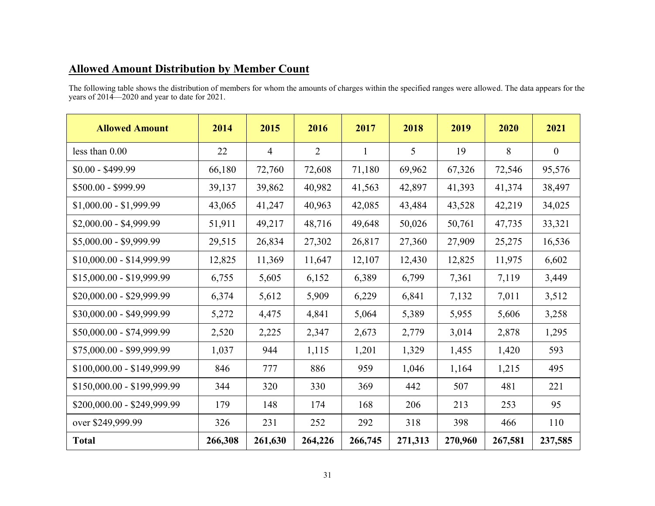## **Allowed Amount Distribution by Member Count**

The following table shows the distribution of members for whom the amounts of charges within the specified ranges were allowed. The data appears for the years of 2014—2020 and year to date for 2021.

| <b>Allowed Amount</b>       | 2014    | 2015           | 2016           | 2017         | 2018    | 2019    | 2020    | 2021           |
|-----------------------------|---------|----------------|----------------|--------------|---------|---------|---------|----------------|
| less than $0.00$            | 22      | $\overline{4}$ | $\overline{2}$ | $\mathbf{1}$ | 5       | 19      | 8       | $\overline{0}$ |
| $$0.00 - $499.99$           | 66,180  | 72,760         | 72,608         | 71,180       | 69,962  | 67,326  | 72,546  | 95,576         |
| \$500.00 - \$999.99         | 39,137  | 39,862         | 40,982         | 41,563       | 42,897  | 41,393  | 41,374  | 38,497         |
| $$1,000.00 - $1,999.99$     | 43,065  | 41,247         | 40,963         | 42,085       | 43,484  | 43,528  | 42,219  | 34,025         |
| \$2,000.00 - \$4,999.99     | 51,911  | 49,217         | 48,716         | 49,648       | 50,026  | 50,761  | 47,735  | 33,321         |
| $$5,000.00 - $9,999.99$     | 29,515  | 26,834         | 27,302         | 26,817       | 27,360  | 27,909  | 25,275  | 16,536         |
| $$10,000.00 - $14,999.99$   | 12,825  | 11,369         | 11,647         | 12,107       | 12,430  | 12,825  | 11,975  | 6,602          |
| $$15,000.00 - $19,999.99$   | 6,755   | 5,605          | 6,152          | 6,389        | 6,799   | 7,361   | 7,119   | 3,449          |
| \$20,000.00 - \$29,999.99   | 6,374   | 5,612          | 5,909          | 6,229        | 6,841   | 7,132   | 7,011   | 3,512          |
| \$30,000.00 - \$49,999.99   | 5,272   | 4,475          | 4,841          | 5,064        | 5,389   | 5,955   | 5,606   | 3,258          |
| \$50,000.00 - \$74,999.99   | 2,520   | 2,225          | 2,347          | 2,673        | 2,779   | 3,014   | 2,878   | 1,295          |
| \$75,000.00 - \$99,999.99   | 1,037   | 944            | 1,115          | 1,201        | 1,329   | 1,455   | 1,420   | 593            |
| \$100,000.00 - \$149,999.99 | 846     | 777            | 886            | 959          | 1,046   | 1,164   | 1,215   | 495            |
| \$150,000.00 - \$199,999.99 | 344     | 320            | 330            | 369          | 442     | 507     | 481     | 221            |
| \$200,000.00 - \$249,999.99 | 179     | 148            | 174            | 168          | 206     | 213     | 253     | 95             |
| over \$249,999.99           | 326     | 231            | 252            | 292          | 318     | 398     | 466     | 110            |
| <b>Total</b>                | 266,308 | 261,630        | 264,226        | 266,745      | 271,313 | 270,960 | 267,581 | 237,585        |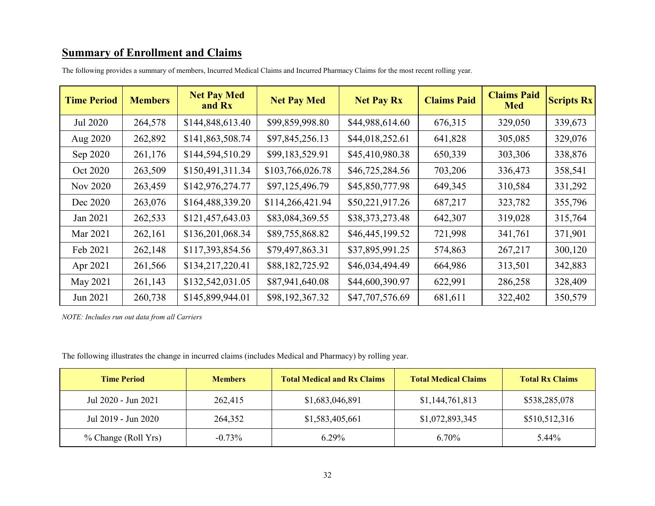## **Summary of Enrollment and Claims**

| <b>Time Period</b> | <b>Members</b> | <b>Net Pay Med</b><br>and Rx | <b>Net Pay Med</b> | <b>Net Pay Rx</b> | <b>Claims Paid</b> | <b>Claims Paid</b><br><b>Med</b> | <b>Scripts Rx</b> |
|--------------------|----------------|------------------------------|--------------------|-------------------|--------------------|----------------------------------|-------------------|
| Jul 2020           | 264,578        | \$144,848,613.40             | \$99,859,998.80    | \$44,988,614.60   | 676,315            | 329,050                          | 339,673           |
| Aug 2020           | 262,892        | \$141,863,508.74             | \$97,845,256.13    | \$44,018,252.61   | 641,828            | 305,085                          | 329,076           |
| Sep 2020           | 261,176        | \$144,594,510.29             | \$99,183,529.91    | \$45,410,980.38   | 650,339            | 303,306                          | 338,876           |
| Oct 2020           | 263,509        | \$150,491,311.34             | \$103,766,026.78   | \$46,725,284.56   | 703,206            | 336,473                          | 358,541           |
| Nov 2020           | 263,459        | \$142,976,274.77             | \$97,125,496.79    | \$45,850,777.98   | 649,345            | 310,584                          | 331,292           |
| Dec 2020           | 263,076        | \$164,488,339.20             | \$114,266,421.94   | \$50,221,917.26   | 687,217            | 323,782                          | 355,796           |
| Jan 2021           | 262,533        | \$121,457,643.03             | \$83,084,369.55    | \$38,373,273.48   | 642,307            | 319,028                          | 315,764           |
| Mar 2021           | 262,161        | \$136,201,068.34             | \$89,755,868.82    | \$46,445,199.52   | 721,998            | 341,761                          | 371,901           |
| Feb 2021           | 262,148        | \$117,393,854.56             | \$79,497,863.31    | \$37,895,991.25   | 574,863            | 267,217                          | 300,120           |
| Apr 2021           | 261,566        | \$134,217,220.41             | \$88,182,725.92    | \$46,034,494.49   | 664,986            | 313,501                          | 342,883           |
| May 2021           | 261,143        | \$132,542,031.05             | \$87,941,640.08    | \$44,600,390.97   | 622,991            | 286,258                          | 328,409           |
| Jun 2021           | 260,738        | \$145,899,944.01             | \$98,192,367.32    | \$47,707,576.69   | 681,611            | 322,402                          | 350,579           |

The following provides a summary of members, Incurred Medical Claims and Incurred Pharmacy Claims for the most recent rolling year.

*NOTE: Includes run out data from all Carriers*

The following illustrates the change in incurred claims (includes Medical and Pharmacy) by rolling year.

| <b>Time Period</b>  | <b>Members</b> | <b>Total Medical and Rx Claims</b> | <b>Total Medical Claims</b> | <b>Total Rx Claims</b> |
|---------------------|----------------|------------------------------------|-----------------------------|------------------------|
| Jul 2020 - Jun 2021 | 262,415        | \$1,683,046,891                    | \$1,144,761,813             | \$538,285,078          |
| Jul 2019 - Jun 2020 | 264,352        | \$1,583,405,661                    | \$1,072,893,345             | \$510,512,316          |
| % Change (Roll Yrs) | $-0.73\%$      | $6.29\%$                           | $6.70\%$                    | 5.44%                  |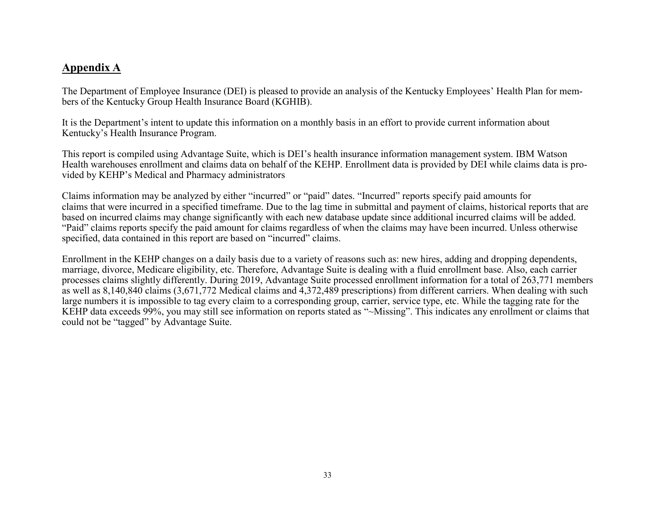#### **Appendix A**

The Department of Employee Insurance (DEI) is pleased to provide an analysis of the Kentucky Employees' Health Plan for members of the Kentucky Group Health Insurance Board (KGHIB).

It is the Department's intent to update this information on a monthly basis in an effort to provide current information about Kentucky's Health Insurance Program.

This report is compiled using Advantage Suite, which is DEI's health insurance information management system. IBM Watson Health warehouses enrollment and claims data on behalf of the KEHP. Enrollment data is provided by DEI while claims data is provided by KEHP's Medical and Pharmacy administrators

Claims information may be analyzed by either "incurred" or "paid" dates. "Incurred" reports specify paid amounts for claims that were incurred in a specified timeframe. Due to the lag time in submittal and payment of claims, historical reports that are based on incurred claims may change significantly with each new database update since additional incurred claims will be added. "Paid" claims reports specify the paid amount for claims regardless of when the claims may have been incurred. Unless otherwise specified, data contained in this report are based on "incurred" claims.

Enrollment in the KEHP changes on a daily basis due to a variety of reasons such as: new hires, adding and dropping dependents, marriage, divorce, Medicare eligibility, etc. Therefore, Advantage Suite is dealing with a fluid enrollment base. Also, each carrier processes claims slightly differently. During 2019, Advantage Suite processed enrollment information for a total of 263,771 members as well as 8,140,840 claims (3,671,772 Medical claims and 4,372,489 prescriptions) from different carriers. When dealing with such large numbers it is impossible to tag every claim to a corresponding group, carrier, service type, etc. While the tagging rate for the KEHP data exceeds 99%, you may still see information on reports stated as "~Missing". This indicates any enrollment or claims that could not be "tagged" by Advantage Suite.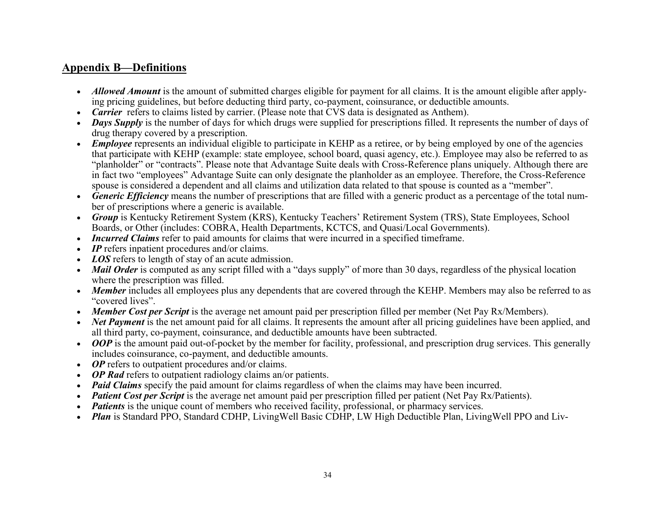#### **Appendix B—Definitions**

- *Allowed Amount* is the amount of submitted charges eligible for payment for all claims. It is the amount eligible after applying pricing guidelines, but before deducting third party, co-payment, coinsurance, or deductible amounts.
- *Carrier* refers to claims listed by carrier. (Please note that CVS data is designated as Anthem).
- *Days Supply* is the number of days for which drugs were supplied for prescriptions filled. It represents the number of days of drug therapy covered by a prescription.
- *Employee* represents an individual eligible to participate in KEHP as a retiree, or by being employed by one of the agencies that participate with KEHP (example: state employee, school board, quasi agency, etc.). Employee may also be referred to as "planholder" or "contracts". Please note that Advantage Suite deals with Cross-Reference plans uniquely. Although there are in fact two "employees" Advantage Suite can only designate the planholder as an employee. Therefore, the Cross-Reference spouse is considered a dependent and all claims and utilization data related to that spouse is counted as a "member".
- *Generic Efficiency* means the number of prescriptions that are filled with a generic product as a percentage of the total number of prescriptions where a generic is available.
- *Group* is Kentucky Retirement System (KRS), Kentucky Teachers' Retirement System (TRS), State Employees, School Boards, or Other (includes: COBRA, Health Departments, KCTCS, and Quasi/Local Governments).
- *Incurred Claims* refer to paid amounts for claims that were incurred in a specified timeframe.
- *IP* refers inpatient procedures and/or claims.
- *LOS* refers to length of stay of an acute admission.
- *Mail Order* is computed as any script filled with a "days supply" of more than 30 days, regardless of the physical location where the prescription was filled.
- *Member* includes all employees plus any dependents that are covered through the KEHP. Members may also be referred to as "covered lives".
- *Member Cost per Script* is the average net amount paid per prescription filled per member (Net Pay Rx/Members).
- *Net Payment* is the net amount paid for all claims. It represents the amount after all pricing guidelines have been applied, and all third party, co-payment, coinsurance, and deductible amounts have been subtracted.
- *OOP* is the amount paid out-of-pocket by the member for facility, professional, and prescription drug services. This generally includes coinsurance, co-payment, and deductible amounts.
- *OP* refers to outpatient procedures and/or claims.
- *OP Rad* refers to outpatient radiology claims an/or patients.
- *Paid Claims* specify the paid amount for claims regardless of when the claims may have been incurred.
- *Patient Cost per Script* is the average net amount paid per prescription filled per patient (Net Pay Rx/Patients).
- *Patients* is the unique count of members who received facility, professional, or pharmacy services.
- *Plan* is Standard PPO, Standard CDHP, LivingWell Basic CDHP, LW High Deductible Plan, LivingWell PPO and Liv-